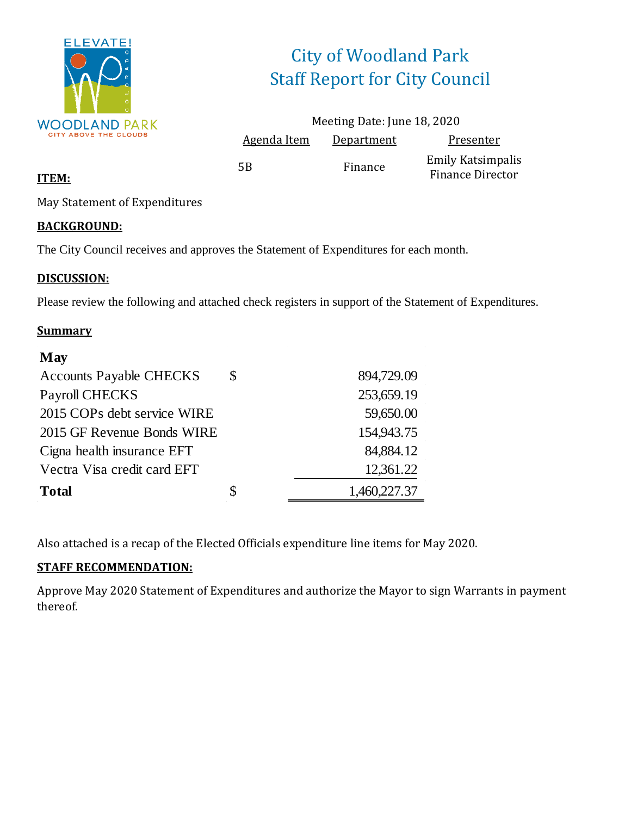

# City of Woodland Park Staff Report for City Council

|             | Meeting Date: June 18, 2020 |                                                     |
|-------------|-----------------------------|-----------------------------------------------------|
| Agenda Item | Department                  | Presenter                                           |
| 5Β          | Finance                     | <b>Emily Katsimpalis</b><br><b>Finance Director</b> |

### **ITEM:**

May Statement of Expenditures

### **BACKGROUND:**

The City Council receives and approves the Statement of Expenditures for each month.

### **DISCUSSION:**

Please review the following and attached check registers in support of the Statement of Expenditures.

### **Summary**

| May                            |                    |
|--------------------------------|--------------------|
| <b>Accounts Payable CHECKS</b> | \$<br>894,729.09   |
| <b>Payroll CHECKS</b>          | 253,659.19         |
| 2015 COPs debt service WIRE    | 59,650.00          |
| 2015 GF Revenue Bonds WIRE     | 154,943.75         |
| Cigna health insurance EFT     | 84,884.12          |
| Vectra Visa credit card EFT    | 12,361.22          |
| <b>Total</b>                   | \$<br>1,460,227.37 |

Also attached is a recap of the Elected Officials expenditure line items for May 2020.

### **STAFF RECOMMENDATION:**

Approve May 2020 Statement of Expenditures and authorize the Mayor to sign Warrants in payment thereof.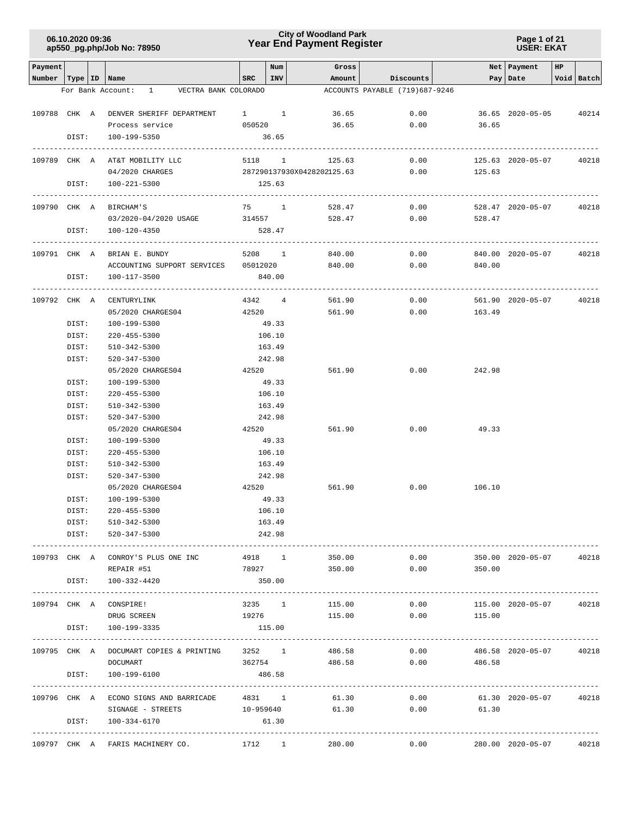### **Year End Payment Register City of Woodland Park 06.10.2020 09:36**

#### **Page 1 of 21 USER: EKAT**

| Payment                   |       |                                             |                     | Num        | Gross              |                                |                | Net   Payment     | HP |                  |
|---------------------------|-------|---------------------------------------------|---------------------|------------|--------------------|--------------------------------|----------------|-------------------|----|------------------|
| Number   Type   ID   Name |       |                                             | SRC                 | <b>INV</b> |                    | Amount Discounts               |                | Pay   Date        |    | Void Batch       |
|                           |       | For Bank Account: 1 VECTRA BANK COLORADO    |                     |            |                    | ACCOUNTS PAYABLE (719)687-9246 |                |                   |    |                  |
|                           |       |                                             |                     |            |                    |                                |                |                   |    |                  |
|                           |       | 109788 CHK A DENVER SHERIFF DEPARTMENT 1 1  |                     |            | 36.65              | 0.00                           |                | 36.65 2020-05-05  |    | 40214            |
|                           |       | Process service                             | 050520              |            | 36.65              | 0.00                           | 36.65          |                   |    |                  |
|                           | DIST: | 100-199-5350                                |                     | 36.65      |                    |                                |                |                   |    |                  |
|                           |       |                                             |                     |            |                    |                                |                |                   |    |                  |
|                           |       | 109789 CHK A AT&T MOBILITY LLC              |                     |            | 5118 1<br>125.63   | 0.00                           |                | 125.63 2020-05-07 |    | 40218            |
|                           |       | 04/2020 CHARGES                             |                     |            |                    |                                | 125.63         |                   |    |                  |
|                           |       | DIST: 100-221-5300                          |                     | 125.63     |                    |                                |                |                   |    |                  |
|                           |       | 109790 CHK A BIRCHAM'S                      | 75 1                |            | 528.47             | 0.00                           |                | 528.47 2020-05-07 |    | 40218            |
|                           |       | 03/2020-04/2020 USAGE                       | 314557              |            | 528.47             | 0.00                           | 528.47         |                   |    |                  |
|                           |       | DIST: 100-120-4350                          |                     | 528.47     |                    |                                |                |                   |    |                  |
|                           |       |                                             |                     |            |                    |                                |                |                   |    |                  |
|                           |       | 109791 CHK A BRIAN E. BUNDY                 |                     |            | 5208 1 840.00      | 0.00                           |                | 840.00 2020-05-07 |    | 40218            |
|                           |       | ACCOUNTING SUPPORT SERVICES 05012020 840.00 |                     |            |                    |                                | $0.00$ 840.00  |                   |    |                  |
|                           | DIST: | 100-117-3500                                |                     | 840.00     |                    |                                |                |                   |    |                  |
|                           |       |                                             |                     |            |                    |                                |                |                   |    |                  |
|                           |       | 109792 CHK A CENTURYLINK                    |                     | 4342 4     | 561.90             | 0.00                           |                | 561.90 2020-05-07 |    | 40218            |
|                           |       | 05/2020 CHARGES04                           | 42520               |            | 561.90             | 0.00                           | 163.49         |                   |    |                  |
|                           | DIST: | 100-199-5300                                |                     | 49.33      |                    |                                |                |                   |    |                  |
|                           | DIST: | 220-455-5300                                |                     | 106.10     |                    |                                |                |                   |    |                  |
|                           | DIST: | 510-342-5300                                |                     | 163.49     |                    |                                |                |                   |    |                  |
|                           | DIST: | 520-347-5300                                |                     | 242.98     |                    |                                |                |                   |    |                  |
|                           |       | 05/2020 CHARGES04                           | 42520               |            | 561.90             | 0.00                           | 242.98         |                   |    |                  |
|                           | DIST: | 100-199-5300                                |                     | 49.33      |                    |                                |                |                   |    |                  |
|                           | DIST: | 220-455-5300                                |                     | 106.10     |                    |                                |                |                   |    |                  |
|                           | DIST: | 510-342-5300                                |                     | 163.49     |                    |                                |                |                   |    |                  |
|                           | DIST: | 520-347-5300                                |                     | 242.98     |                    |                                |                |                   |    |                  |
|                           |       | 05/2020 CHARGES04                           | 42520               |            | 561.90             | 0.00                           | 49.33          |                   |    |                  |
|                           | DIST: | 100-199-5300                                |                     | 49.33      |                    |                                |                |                   |    |                  |
|                           | DIST: | $220 - 455 - 5300$                          |                     | 106.10     |                    |                                |                |                   |    |                  |
|                           | DIST: | 510-342-5300                                |                     | 163.49     |                    |                                |                |                   |    |                  |
|                           | DIST: | 520-347-5300                                |                     | 242.98     |                    |                                |                |                   |    |                  |
|                           |       | 05/2020 CHARGES04                           | 42520               |            | 561.90             | 0.00                           | 106.10         |                   |    |                  |
|                           | DIST: | 100-199-5300                                |                     | 49.33      |                    |                                |                |                   |    |                  |
|                           | DIST: | 220-455-5300                                |                     | 106.10     |                    |                                |                |                   |    |                  |
|                           | DIST: | 510-342-5300                                |                     | 163.49     |                    |                                |                |                   |    |                  |
|                           | DIST: | 520-347-5300                                |                     | 242.98     |                    |                                |                |                   |    |                  |
|                           |       |                                             |                     |            |                    |                                |                |                   |    |                  |
|                           |       | 109793 CHK A CONROY'S PLUS ONE INC          |                     | 4918 1     | 350.00             | 0.00                           |                | 350.00 2020-05-07 |    | 40218            |
|                           |       | REPAIR #51                                  |                     |            | 78927 38<br>350.00 |                                | 0.00<br>350.00 |                   |    |                  |
|                           | DIST: | 100-332-4420                                |                     | 350.00     |                    |                                |                |                   |    |                  |
|                           |       |                                             |                     |            |                    |                                |                |                   |    |                  |
|                           |       | 109794 CHK A CONSPIRE!                      |                     | 3235 1     | 115.00             | 0.00                           |                | 115.00 2020-05-07 |    | 40218            |
|                           |       | DRUG SCREEN                                 | 19276               |            | 115.00             | 0.00                           | 115.00         |                   |    |                  |
|                           | DIST: | 100-199-3335                                |                     | 115.00     |                    |                                |                |                   |    |                  |
| 109795 CHK A              |       | DOCUMART COPIES & PRINTING                  |                     |            | 3252 1<br>486.58   | 0.00                           |                | 486.58 2020-05-07 |    | 40218            |
|                           |       | DOCUMART                                    | 362754              |            | 486.58             |                                | 0.00<br>486.58 |                   |    |                  |
|                           | DIST: | 100-199-6100                                |                     | 486.58     |                    |                                |                |                   |    |                  |
|                           |       |                                             | ------------------- |            |                    |                                |                |                   |    |                  |
|                           |       | 109796 CHK A ECONO SIGNS AND BARRICADE      | 4831 1              |            | 61.30              | 0.00                           |                | 61.30 2020-05-07  |    | 40218            |
|                           |       | SIGNAGE - STREETS                           | 10-959640           |            | 61.30              | 0.00                           | 61.30          |                   |    |                  |
|                           | DIST: | 100-334-6170                                |                     | 61.30      |                    |                                |                |                   |    |                  |
|                           |       |                                             |                     |            |                    |                                |                |                   |    | ________________ |
|                           |       | 109797 CHK A FARIS MACHINERY CO.            |                     |            | 1712 1 280.00      | 0.00                           |                | 280.00 2020-05-07 |    | 40218            |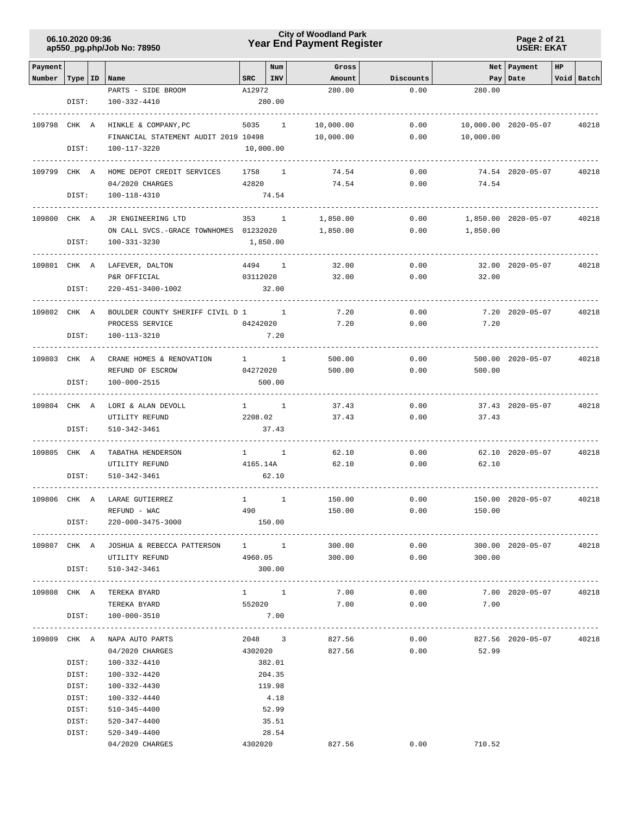**Page 2 of 21 USER: EKAT**

| Payment      |                |                                                              |              | Num            | Gross          |              |                          | Net Payment          | HP |            |
|--------------|----------------|--------------------------------------------------------------|--------------|----------------|----------------|--------------|--------------------------|----------------------|----|------------|
| Number       |                | Type   ID   Name                                             | SRC          | INV            | Amount         | Discounts    |                          | Pay   Date           |    | Void Batch |
|              |                | PARTS - SIDE BROOM                                           | A12972       |                | 280.00         | 0.00         | 280.00                   |                      |    |            |
|              | DIST:          | 100-332-4410                                                 |              | 280.00         |                |              |                          |                      |    |            |
|              |                |                                                              |              |                |                |              |                          |                      |    |            |
| 109798 CHK A |                | HINKLE & COMPANY, PC<br>FINANCIAL STATEMENT AUDIT 2019 10498 |              | 5035 1         | 10,000.00      | 0.00<br>0.00 | 10,000.00                | 10,000.00 2020-05-07 |    | 40218      |
|              | DIST:          | 100-117-3220                                                 |              | 10,000.00      | 10,000.00      |              |                          |                      |    |            |
|              |                |                                                              |              |                |                |              |                          |                      |    |            |
| 109799 CHK A |                | HOME DEPOT CREDIT SERVICES                                   | 1758         | $\sim$ 1       | 74.54          | 0.00         |                          | 74.54 2020-05-07     |    | 40218      |
|              |                | 04/2020 CHARGES                                              | 42820        |                | 74.54          | 0.00         | 74.54                    |                      |    |            |
|              | DIST:          | 100-118-4310                                                 |              | 74.54          |                |              |                          |                      |    |            |
|              |                |                                                              |              |                |                |              |                          |                      |    |            |
| 109800 CHK A |                | JR ENGINEERING LTD                                           |              | 353 1          | 1,850.00       | 0.00         |                          | 1,850.00 2020-05-07  |    | 40218      |
|              |                | ON CALL SVCS.-GRACE TOWNHOMES 01232020                       |              |                | 1,850.00       | 0.00         | 1,850.00                 |                      |    |            |
|              | DIST:          | 100-331-3230                                                 |              | 1,850.00       |                |              |                          |                      |    |            |
| 109801 CHK A |                | LAFEVER, DALTON                                              | 4494         | $\sim$ 1       | 32.00          | 0.00         |                          | 32.00 2020-05-07     |    | 40218      |
|              |                | P&R OFFICIAL                                                 | 03112020     |                | 32.00          | 0.00         | 32.00                    |                      |    |            |
|              | DIST:          | 220-451-3400-1002                                            |              | 32.00          |                |              |                          |                      |    |            |
|              |                |                                                              |              |                |                |              |                          |                      |    |            |
| 109802 CHK A |                | BOULDER COUNTY SHERIFF CIVIL D 1                             |              |                | 7.20           | 0.00         |                          | 7.20 2020-05-07      |    | 40218      |
|              |                | PROCESS SERVICE                                              | 04242020     |                | 7.20           | 0.00         | 7.20                     |                      |    |            |
|              | DIST:          | 100-113-3210                                                 |              | 7.20           |                |              |                          |                      |    |            |
|              |                |                                                              |              |                |                |              |                          |                      |    |            |
| 109803 CHK A |                | CRANE HOMES & RENOVATION                                     |              | $1 \quad 1$    | 500.00         | 0.00         |                          | 500.00 2020-05-07    |    | 40218      |
|              |                | REFUND OF ESCROW                                             | 04272020     |                | 500.00         | 0.00         | 500.00                   |                      |    |            |
|              | DIST:          | 100-000-2515                                                 |              | 500.00         |                |              |                          |                      |    |            |
| 109804 CHK A |                | LORI & ALAN DEVOLL                                           |              | $1 \quad 1$    | 37.43          | 0.00         |                          | 37.43 2020-05-07     |    | 40218      |
|              |                | UTILITY REFUND                                               | 2208.02      |                | 37.43          | 0.00         | 37.43                    |                      |    |            |
|              | DIST:          | 510-342-3461                                                 |              | 37.43          |                |              |                          |                      |    |            |
|              |                |                                                              |              |                |                |              |                          |                      |    |            |
| 109805 CHK A |                | TABATHA HENDERSON                                            |              | $1 \quad 1$    | 62.10          | 0.00         |                          | 62.10 2020-05-07     |    | 40218      |
|              |                | UTILITY REFUND                                               | 4165.14A     |                | 62.10          | 0.00         | 62.10                    |                      |    |            |
|              | DIST:          | 510-342-3461                                                 |              | 62.10          |                |              |                          |                      |    |            |
| 109806 CHK A |                | LARAE GUTIERREZ                                              | $\mathbf{1}$ | 1              | 150.00         | 0.00         |                          | 150.00 2020-05-07    |    | 40218      |
|              |                | REFUND - WAC                                                 | 490          |                | 150.00         | 0.00         | 150.00                   |                      |    |            |
|              | DIST:          | 220-000-3475-3000                                            |              | 150.00         |                |              |                          |                      |    |            |
|              |                |                                                              |              |                |                |              |                          |                      |    |            |
|              |                | 109807 CHK A JOSHUA & REBECCA PATTERSON 1 1                  |              |                | 300.00         | 0.00         |                          | 300.00 2020-05-07    |    | 40218      |
|              |                | UTILITY REFUND                                               | 4960.05      |                | 300.00         | 0.00         | 300.00                   |                      |    |            |
|              |                | DIST: 510-342-3461                                           |              | 300.00         |                |              |                          |                      |    |            |
|              |                | 109808 CHK A TEREKA BYARD                                    |              | $1 \quad 1$    | 7.00           | 0.00         |                          | 7.00 2020-05-07      |    | 40218      |
|              |                | TEREKA BYARD                                                 | 552020       |                | 7.00           | 0.00         | 7.00                     |                      |    |            |
|              | DIST:          | 100-000-3510                                                 |              | 7.00           |                |              |                          |                      |    |            |
|              |                |                                                              |              |                |                |              | ------------------------ |                      |    |            |
|              |                | 109809 CHK A NAPA AUTO PARTS                                 |              |                | 2048 3 827.56  | 0.00         | 827.56 2020-05-07 40218  |                      |    |            |
|              |                | 04/2020 CHARGES                                              |              |                | 4302020 827.56 |              | $0.00$ 52.99             |                      |    |            |
|              | DIST:          | 100-332-4410                                                 |              | 382.01         |                |              |                          |                      |    |            |
|              | DIST:          | 100-332-4420                                                 |              | 204.35         |                |              |                          |                      |    |            |
|              | DIST:          | 100-332-4430                                                 |              | 119.98         |                |              |                          |                      |    |            |
|              | DIST:          | 100-332-4440                                                 |              | 4.18           |                |              |                          |                      |    |            |
|              | DIST:          | 510-345-4400                                                 |              | 52.99          |                |              |                          |                      |    |            |
|              | DIST:<br>DIST: | 520-347-4400<br>520-349-4400                                 |              | 35.51<br>28.54 |                |              |                          |                      |    |            |
|              |                | 04/2020 CHARGES                                              |              |                | 4302020 827.56 |              | $0.00$ 710.52            |                      |    |            |
|              |                |                                                              |              |                |                |              |                          |                      |    |            |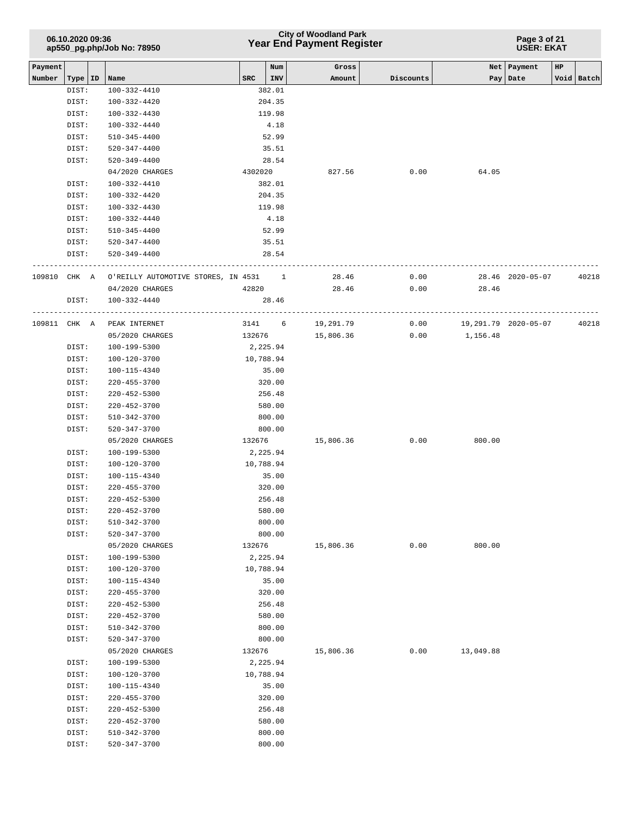|              | 06.10.2020 09:36<br>ap550_pg.php/Job No: 78950 |  |                                                         |         |                | <b>City of Woodland Park</b><br>Year End Payment Register |           | Page 3 of 21<br><b>USER: EKAT</b> |                  |    |            |  |
|--------------|------------------------------------------------|--|---------------------------------------------------------|---------|----------------|-----------------------------------------------------------|-----------|-----------------------------------|------------------|----|------------|--|
| Payment      |                                                |  |                                                         |         | Num            | Gross                                                     |           | Net                               | Payment          | HP |            |  |
| Number       | Type   ID                                      |  | Name                                                    | SRC     | INV            | Amount                                                    | Discounts |                                   | Pay   Date       |    | Void Batch |  |
|              | DIST:                                          |  | 100-332-4410                                            |         | 382.01         |                                                           |           |                                   |                  |    |            |  |
|              | DIST:                                          |  | $100 - 332 - 4420$                                      |         | 204.35         |                                                           |           |                                   |                  |    |            |  |
|              | DIST:                                          |  | $100 - 332 - 4430$                                      |         | 119.98         |                                                           |           |                                   |                  |    |            |  |
|              | DIST:                                          |  | 100-332-4440<br>$510 - 345 - 4400$                      |         | 4.18           |                                                           |           |                                   |                  |    |            |  |
|              | DIST:<br>DIST:                                 |  | $520 - 347 - 4400$                                      |         | 52.99<br>35.51 |                                                           |           |                                   |                  |    |            |  |
|              | DIST:                                          |  | $520 - 349 - 4400$                                      |         | 28.54          |                                                           |           |                                   |                  |    |            |  |
|              |                                                |  | 04/2020 CHARGES                                         | 4302020 |                | 827.56                                                    | 0.00      | 64.05                             |                  |    |            |  |
|              | DIST:                                          |  | $100 - 332 - 4410$                                      |         | 382.01         |                                                           |           |                                   |                  |    |            |  |
|              | DIST:                                          |  | 100-332-4420                                            |         | 204.35         |                                                           |           |                                   |                  |    |            |  |
|              | DIST:                                          |  | 100-332-4430                                            |         | 119.98         |                                                           |           |                                   |                  |    |            |  |
|              | DIST:                                          |  | 100-332-4440                                            |         | 4.18           |                                                           |           |                                   |                  |    |            |  |
|              | DIST:                                          |  | $510 - 345 - 4400$                                      |         | 52.99          |                                                           |           |                                   |                  |    |            |  |
|              | DIST:                                          |  | 520-347-4400                                            |         | 35.51          |                                                           |           |                                   |                  |    |            |  |
|              | DIST:                                          |  | $520 - 349 - 4400$                                      |         | 28.54          |                                                           |           |                                   |                  |    |            |  |
|              |                                                |  |                                                         |         |                |                                                           |           |                                   |                  |    |            |  |
|              |                                                |  | 109810 CHK A O'REILLY AUTOMOTIVE STORES, IN 4531 1      |         |                | 28.46                                                     | 0.00      |                                   | 28.46 2020-05-07 |    | 40218      |  |
|              |                                                |  | 04/2020 CHARGES                                         |         | 42820          | 28.46                                                     | 0.00      | 28.46                             |                  |    |            |  |
|              | DIST:                                          |  | 100-332-4440                                            |         | 28.46          |                                                           |           |                                   |                  |    |            |  |
| 109811 CHK A |                                                |  | --------------------------------------<br>PEAK INTERNET |         | 3141 6         | 19,291.79                                                 | 0.00      | 19,291.79 2020-05-07              |                  |    | 40218      |  |
|              |                                                |  | 05/2020 CHARGES                                         |         | 132676         | 15,806.36                                                 | 0.00      | 1,156.48                          |                  |    |            |  |
|              | DIST:                                          |  | 100-199-5300                                            |         | 2,225.94       |                                                           |           |                                   |                  |    |            |  |
|              | DIST:                                          |  | 100-120-3700                                            |         | 10,788.94      |                                                           |           |                                   |                  |    |            |  |
|              | DIST:                                          |  | 100-115-4340                                            |         | 35.00          |                                                           |           |                                   |                  |    |            |  |
|              | DIST:                                          |  | $220 - 455 - 3700$                                      |         | 320.00         |                                                           |           |                                   |                  |    |            |  |
|              | DIST:                                          |  | 220-452-5300                                            |         | 256.48         |                                                           |           |                                   |                  |    |            |  |
|              | DIST:                                          |  | $220 - 452 - 3700$                                      |         | 580.00         |                                                           |           |                                   |                  |    |            |  |
|              | DIST:                                          |  | $510 - 342 - 3700$                                      |         | 800.00         |                                                           |           |                                   |                  |    |            |  |
|              | DIST:                                          |  | 520-347-3700                                            |         | 800.00         |                                                           |           |                                   |                  |    |            |  |
|              |                                                |  | 05/2020 CHARGES                                         | 132676  |                | 15,806.36                                                 | 0.00      | 800.00                            |                  |    |            |  |
|              | DIST:                                          |  | 100-199-5300                                            |         | 2,225.94       |                                                           |           |                                   |                  |    |            |  |
|              | DIST:                                          |  | 100-120-3700                                            |         | 10,788.94      |                                                           |           |                                   |                  |    |            |  |
|              | DIST:                                          |  | $100 - 115 - 4340$                                      |         | 35.00          |                                                           |           |                                   |                  |    |            |  |
|              | DIST:                                          |  | $220 - 455 - 3700$                                      |         | 320.00         |                                                           |           |                                   |                  |    |            |  |
|              | DIST:                                          |  | 220-452-5300                                            |         | 256.48         |                                                           |           |                                   |                  |    |            |  |
|              | DIST:                                          |  | 220-452-3700                                            |         | 580.00         |                                                           |           |                                   |                  |    |            |  |
|              | DIST:                                          |  | $510 - 342 - 3700$                                      |         | 800.00         |                                                           |           |                                   |                  |    |            |  |
|              | DIST:                                          |  | 520-347-3700                                            |         | 800.00         |                                                           |           |                                   |                  |    |            |  |
|              |                                                |  | 05/2020 CHARGES                                         | 132676  |                | 15,806.36                                                 | 0.00      | 800.00                            |                  |    |            |  |
|              | DIST:                                          |  | 100-199-5300                                            |         | 2,225.94       |                                                           |           |                                   |                  |    |            |  |
|              | DIST:                                          |  | 100-120-3700                                            |         | 10,788.94      |                                                           |           |                                   |                  |    |            |  |
|              | DIST:                                          |  | 100-115-4340                                            |         | 35.00          |                                                           |           |                                   |                  |    |            |  |
|              | DIST:                                          |  | 220-455-3700                                            |         | 320.00         |                                                           |           |                                   |                  |    |            |  |
|              | DIST:                                          |  | 220-452-5300                                            |         | 256.48         |                                                           |           |                                   |                  |    |            |  |
|              | DIST:                                          |  | $220 - 452 - 3700$                                      |         | 580.00         |                                                           |           |                                   |                  |    |            |  |
|              | DIST:                                          |  | 510-342-3700                                            |         | 800.00         |                                                           |           |                                   |                  |    |            |  |
|              | DIST:                                          |  | 520-347-3700                                            |         | 800.00         |                                                           |           |                                   |                  |    |            |  |
|              |                                                |  | 05/2020 CHARGES                                         | 132676  |                | 15,806.36                                                 | 0.00      | 13,049.88                         |                  |    |            |  |
|              | DIST:                                          |  | 100-199-5300                                            |         | 2,225.94       |                                                           |           |                                   |                  |    |            |  |
|              | DIST:                                          |  | 100-120-3700                                            |         | 10,788.94      |                                                           |           |                                   |                  |    |            |  |
|              | DIST:                                          |  | 100-115-4340                                            |         | 35.00          |                                                           |           |                                   |                  |    |            |  |
|              | DIST:                                          |  | 220-455-3700                                            |         | 320.00         |                                                           |           |                                   |                  |    |            |  |
|              | DIST:                                          |  | 220-452-5300                                            |         | 256.48         |                                                           |           |                                   |                  |    |            |  |
|              | DIST:                                          |  | 220-452-3700                                            |         | 580.00         |                                                           |           |                                   |                  |    |            |  |
|              | DIST:                                          |  | 510-342-3700                                            |         | 800.00         |                                                           |           |                                   |                  |    |            |  |
|              | DIST:                                          |  | 520-347-3700                                            |         | 800.00         |                                                           |           |                                   |                  |    |            |  |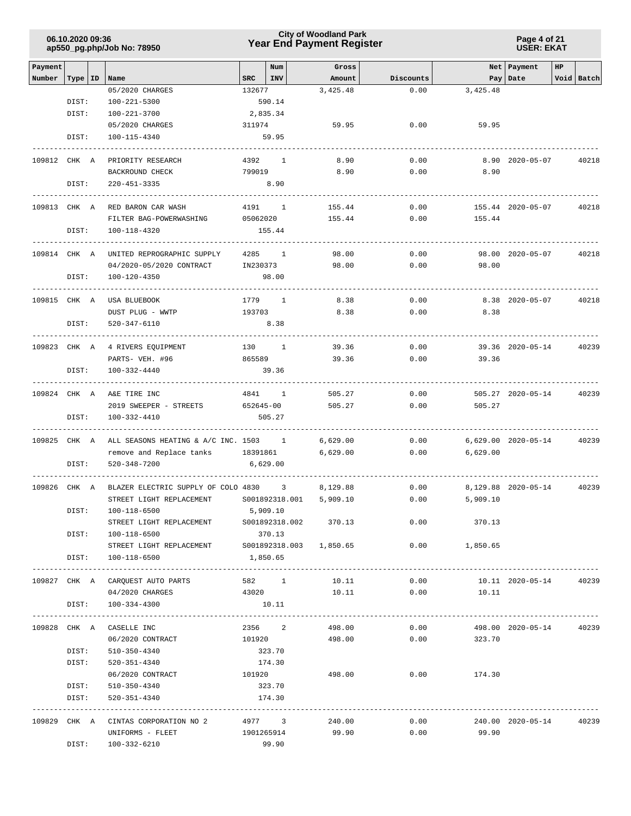### **Year End Payment Register City of Woodland Park 06.10.2020 09:36**

**Page 4 of 21 USER: EKAT**

|              |           |                                       |                       |                |                       | Net   Payment<br>HP |                 |                         |            |       |  |
|--------------|-----------|---------------------------------------|-----------------------|----------------|-----------------------|---------------------|-----------------|-------------------------|------------|-------|--|
| Payment      |           |                                       |                       | Num            | Gross                 |                     |                 |                         |            |       |  |
| Number       | Type   ID | Name<br>05/2020 CHARGES               | $SRC$   INV<br>132677 |                | Amount<br>3,425.48    | Discounts<br>0.00   | 3,425.48        | Pay Date                | Void Batch |       |  |
|              | DIST:     | $100 - 221 - 5300$                    |                       | 590.14         |                       |                     |                 |                         |            |       |  |
|              | DIST:     | 100-221-3700                          | 2,835.34              |                |                       |                     |                 |                         |            |       |  |
|              |           | 05/2020 CHARGES                       | 311974                |                | 59.95                 | 0.00                | 59.95           |                         |            |       |  |
|              | DIST:     | 100-115-4340                          |                       | 59.95          |                       |                     |                 |                         |            |       |  |
|              |           |                                       |                       |                |                       |                     |                 |                         |            |       |  |
| 109812 CHK A |           | PRIORITY RESEARCH                     |                       | 4392 1         | 8.90                  | 0.00                |                 | 8.90 2020-05-07         |            | 40218 |  |
|              |           | BACKROUND CHECK                       | 799019                |                | 8.90                  | 0.00                | 8.90            |                         |            |       |  |
|              | DIST:     | $220 - 451 - 3335$                    |                       | 8.90           |                       |                     |                 |                         |            |       |  |
|              |           |                                       |                       |                |                       |                     |                 |                         |            |       |  |
|              |           | 109813 CHK A RED BARON CAR WASH       | 4191 1                |                | 155.44                | 0.00                |                 | 155.44 2020-05-07       |            | 40218 |  |
|              |           | FILTER BAG-POWERWASHING               | 05062020              |                | 155.44                | 0.00                | 155.44          |                         |            |       |  |
|              | DIST:     | 100-118-4320                          |                       | 155.44         |                       |                     |                 |                         |            |       |  |
|              |           |                                       |                       |                |                       |                     |                 |                         |            |       |  |
| 109814 CHK A |           | UNITED REPROGRAPHIC SUPPLY            |                       | 4285 1         | 98.00                 | 0.00                |                 | 98.00 2020-05-07        |            | 40218 |  |
|              |           | 04/2020-05/2020 CONTRACT              |                       | IN230373       | 98.00                 | 0.00                | 98.00           |                         |            |       |  |
|              | DIST:     | 100-120-4350                          |                       | 98.00          |                       |                     |                 |                         |            |       |  |
|              |           |                                       |                       |                |                       |                     |                 |                         |            |       |  |
| 109815 CHK A |           | USA BLUEBOOK                          | 1779 1                |                | 8.38                  | 0.00                |                 | 8.38 2020-05-07         |            | 40218 |  |
|              |           | DUST PLUG - WWTP                      | 193703                |                | 8.38                  | 0.00                | 8.38            |                         |            |       |  |
|              | DIST:     | 520-347-6110                          |                       | 8.38           |                       |                     |                 |                         |            |       |  |
|              |           |                                       | -----------<br>130 1  |                | 39.36                 |                     |                 |                         |            |       |  |
|              |           | 109823 CHK A 4 RIVERS EQUIPMENT       | 865589                |                | 39.36                 | 0.00<br>0.00        |                 | 39.36 2020-05-14        |            | 40239 |  |
|              | DIST:     | PARTS- VEH. #96                       |                       |                |                       |                     | 39.36           |                         |            |       |  |
|              |           | 100-332-4440                          |                       | 39.36          |                       |                     |                 |                         |            |       |  |
|              |           | 109824 CHK A A&E TIRE INC             |                       | 4841 1         | 505.27                | 0.00                |                 | 505.27 2020-05-14       |            | 40239 |  |
|              |           | 2019 SWEEPER - STREETS                | 652645-00             |                | 505.27                | 0.00                | 505.27          |                         |            |       |  |
|              | DIST:     | 100-332-4410                          |                       | 505.27         |                       |                     |                 |                         |            |       |  |
|              |           |                                       |                       |                |                       |                     |                 |                         |            |       |  |
| 109825 CHK A |           | ALL SEASONS HEATING & A/C INC. 1503 1 |                       |                | 6,629.00              | 0.00                |                 | 6,629.00 2020-05-14     |            | 40239 |  |
|              |           | remove and Replace tanks 18391861     |                       |                | 6,629.00              | 0.00                | 6,629.00        |                         |            |       |  |
|              | DIST:     | 520-348-7200                          | 6,629.00              |                |                       |                     |                 |                         |            |       |  |
|              |           |                                       |                       |                |                       |                     |                 |                         |            |       |  |
| 109826 CHK A |           | BLAZER ELECTRIC SUPPLY OF COLO 4830 3 |                       |                | 8,129.88              | 0.00                |                 | 8,129.88 2020-05-14     |            | 40239 |  |
|              |           | STREET LIGHT REPLACEMENT              |                       | S001892318.001 | 5,909.10              | 0.00                | 5,909.10        |                         |            |       |  |
|              | DIST:     | 100-118-6500                          | 5,909.10              |                |                       |                     |                 |                         |            |       |  |
|              |           | STREET LIGHT REPLACEMENT              |                       |                | S001892318.002 370.13 | 0.00                | 370.13          |                         |            |       |  |
|              | DIST:     | 100-118-6500                          |                       | 370.13         |                       |                     |                 |                         |            |       |  |
|              |           |                                       |                       |                |                       |                     | $0.00$ 1,850.65 |                         |            |       |  |
|              | DIST:     | 100-118-6500                          | 1,850.65              |                |                       |                     |                 |                         |            |       |  |
|              |           |                                       |                       |                |                       |                     |                 |                         |            |       |  |
|              |           | 109827 CHK A CARQUEST AUTO PARTS      |                       | 582 1          | 10.11                 | 0.00                |                 | 10.11 2020-05-14        |            | 40239 |  |
|              |           | 04/2020 CHARGES                       | 43020                 |                | 10.11                 |                     | $0.00$ 10.11    |                         |            |       |  |
|              | DIST:     | 100-334-4300                          |                       | 10.11          |                       |                     |                 |                         |            |       |  |
|              |           | 109828 CHK A CASELLE INC              |                       | 2356 2         | 498.00                | 0.00                |                 | 498.00 2020-05-14 40239 |            |       |  |
|              |           | 06/2020 CONTRACT                      | 101920                |                | 498.00                | 0.00                | 323.70          |                         |            |       |  |
|              | DIST:     | 510-350-4340                          |                       | 323.70         |                       |                     |                 |                         |            |       |  |
|              | DIST:     | 520-351-4340                          |                       | 174.30         |                       |                     |                 |                         |            |       |  |
|              |           | 06/2020 CONTRACT 101920               |                       |                | 498.00                |                     | $0.00$ 174.30   |                         |            |       |  |
|              | DIST:     | 510-350-4340                          |                       | 323.70         |                       |                     |                 |                         |            |       |  |
|              | DIST:     | 520-351-4340                          |                       | 174.30         |                       |                     |                 |                         |            |       |  |
|              |           |                                       |                       |                |                       |                     |                 |                         |            |       |  |
|              |           | 109829 CHK A CINTAS CORPORATION NO 2  |                       | 4977 3         | 240.00                | 0.00                |                 | 240.00 2020-05-14 40239 |            |       |  |
|              |           | UNIFORMS - FLEET                      |                       | 1901265914     | 99.90                 | 0.00                | 99.90           |                         |            |       |  |
|              | DIST:     | 100-332-6210                          |                       | 99.90          |                       |                     |                 |                         |            |       |  |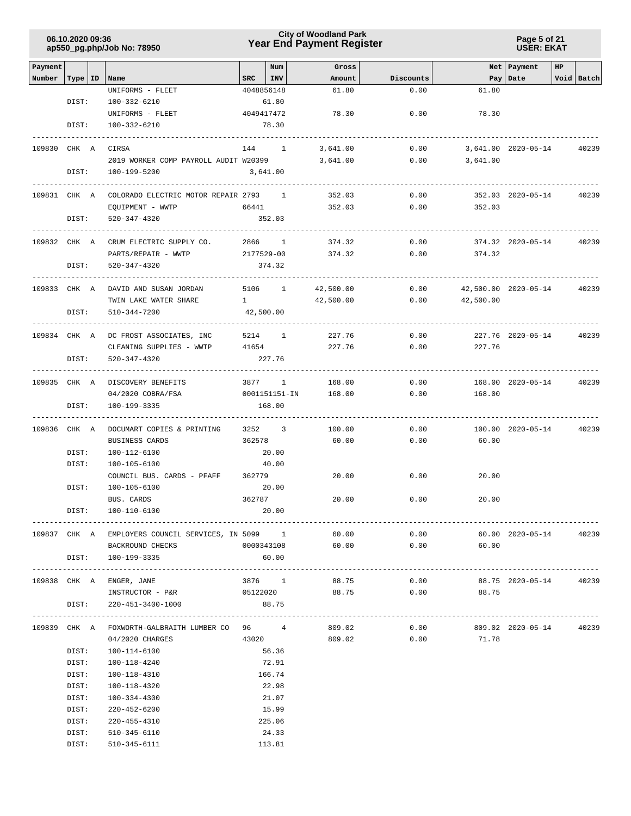| 06.10.2020 09:36           |  |
|----------------------------|--|
| ap550_pg.php/Job No: 78950 |  |

**Page 5 of 21 USER: EKAT**

| Payment      |           |                                                    |                  | Num                      | Gross            |                   |              | Net Payment          | HP |            |
|--------------|-----------|----------------------------------------------------|------------------|--------------------------|------------------|-------------------|--------------|----------------------|----|------------|
| Number       | Type   ID | Name                                               | SRC              | <b>INV</b><br>4048856148 | Amount<br>61.80  | Discounts<br>0.00 | 61.80        | Pay Date             |    | Void Batch |
|              | DIST:     | UNIFORMS - FLEET<br>100-332-6210                   |                  | 61.80                    |                  |                   |              |                      |    |            |
|              |           | UNIFORMS - FLEET                                   |                  | 4049417472               | 78.30            | 0.00              | 78.30        |                      |    |            |
|              | DIST:     | 100-332-6210                                       |                  | 78.30                    |                  |                   |              |                      |    |            |
|              |           | ----------------                                   |                  |                          |                  |                   |              |                      |    |            |
| 109830 CHK A |           | CIRSA                                              |                  | 144 1                    | 3,641.00         | 0.00              |              | 3,641.00 2020-05-14  |    | 40239      |
|              |           | 2019 WORKER COMP PAYROLL AUDIT W20399              |                  |                          | 3,641.00         | 0.00              | 3,641.00     |                      |    |            |
|              | DIST:     | 100-199-5200                                       |                  | 3,641.00                 |                  |                   |              |                      |    |            |
|              |           | -----------------------------                      |                  |                          |                  |                   |              |                      |    |            |
|              |           | 109831 CHK A COLORADO ELECTRIC MOTOR REPAIR 2793 1 |                  |                          | 352.03           | 0.00              |              | 352.03 2020-05-14    |    | 40239      |
|              |           | EQUIPMENT - WWTP                                   | 66441            |                          | 352.03           | 0.00              | 352.03       |                      |    |            |
|              | DIST:     | 520-347-4320                                       |                  | 352.03                   |                  |                   |              |                      |    |            |
|              |           |                                                    |                  |                          |                  |                   |              |                      |    |            |
| 109832 CHK A |           | CRUM ELECTRIC SUPPLY CO.                           |                  | 2866 1                   | 374.32           | 0.00              |              | 374.32 2020-05-14    |    | 40239      |
|              |           | PARTS/REPAIR - WWTP                                |                  | 2177529-00               | 374.32           | 0.00              | 374.32       |                      |    |            |
|              | DIST:     | 520-347-4320                                       |                  | 374.32                   |                  |                   |              |                      |    |            |
|              |           |                                                    |                  |                          |                  |                   |              |                      |    |            |
| 109833 CHK A |           | DAVID AND SUSAN JORDAN                             |                  | 5106 1                   | 42,500.00        | 0.00              |              | 42,500.00 2020-05-14 |    | 40239      |
|              |           | TWIN LAKE WATER SHARE                              | $1 \quad \cdots$ |                          | 42,500.00        | 0.00              | 42,500.00    |                      |    |            |
|              | DIST:     | 510-344-7200                                       |                  | 42,500.00                |                  |                   |              |                      |    |            |
|              |           |                                                    |                  |                          |                  |                   |              |                      |    |            |
| 109834 CHK A |           | DC FROST ASSOCIATES, INC                           |                  | 5214 1                   | 227.76           | 0.00              |              | 227.76 2020-05-14    |    | 40239      |
|              | DIST:     | CLEANING SUPPLIES - WWTP<br>520-347-4320           | 41654            | 227.76                   | 227.76           | 0.00              | 227.76       |                      |    |            |
|              |           | ---------------                                    |                  |                          |                  |                   |              |                      |    |            |
|              |           | 109835 CHK A DISCOVERY BENEFITS                    |                  | 3877 1                   | 168.00           | 0.00              |              | 168.00 2020-05-14    |    | 40239      |
|              |           | 04/2020 COBRA/FSA                                  |                  | 0001151151-IN            | 168.00           | 0.00              | 168.00       |                      |    |            |
|              | DIST:     | 100-199-3335                                       |                  | 168.00                   |                  |                   |              |                      |    |            |
|              |           |                                                    |                  |                          |                  |                   |              |                      |    |            |
| 109836 CHK A |           | DOCUMART COPIES & PRINTING                         |                  | 3252 3                   | 100.00           | 0.00              |              | 100.00 2020-05-14    |    | 40239      |
|              |           | BUSINESS CARDS                                     | 362578           |                          | 60.00            | 0.00              | 60.00        |                      |    |            |
|              | DIST:     | 100-112-6100                                       |                  | 20.00                    |                  |                   |              |                      |    |            |
|              | DIST:     | 100-105-6100                                       |                  | 40.00                    |                  |                   |              |                      |    |            |
|              |           | COUNCIL BUS. CARDS - PFAFF                         | 362779           |                          | 20.00            | 0.00              | 20.00        |                      |    |            |
|              | DIST:     | 100-105-6100                                       |                  | 20.00                    |                  |                   |              |                      |    |            |
|              |           | BUS. CARDS                                         | 362787           |                          | 20.00            | 0.00              | 20.00        |                      |    |            |
|              | DIST:     | 100-110-6100                                       |                  | 20.00                    |                  |                   |              |                      |    |            |
|              |           |                                                    |                  |                          |                  |                   |              |                      |    |            |
|              |           | 109837 CHK A EMPLOYERS COUNCIL SERVICES, IN 5099 1 |                  |                          | 60.00            | 0.00              |              | 60.00 2020-05-14     |    | 40239      |
|              |           | BACKROUND CHECKS                                   |                  |                          | 0000343108 60.00 | 0.00              | 60.00        |                      |    |            |
|              | DIST:     | 100-199-3335                                       |                  | 60.00                    |                  |                   |              |                      |    |            |
|              |           | 109838 CHK A ENGER, JANE                           |                  | 3876 1                   | 88.75            | 0.00              |              | 88.75 2020-05-14     |    | 40239      |
|              |           | INSTRUCTOR - P&R                                   |                  |                          | 05122020 88.75   |                   | $0.00$ 88.75 |                      |    |            |
|              | DIST:     | 220-451-3400-1000                                  |                  | 88.75                    |                  |                   |              |                      |    |            |
|              |           |                                                    |                  |                          |                  |                   |              |                      |    |            |
|              |           | 109839 CHK A FOXWORTH-GALBRAITH LUMBER CO 96 4     |                  |                          | 809.02           | 0.00              |              | 809.02 2020-05-14    |    | 40239      |
|              |           | 04/2020 CHARGES                                    | 43020            |                          | 809.02           | 0.00              | 71.78        |                      |    |            |
|              | DIST:     | 100-114-6100                                       |                  | 56.36                    |                  |                   |              |                      |    |            |
|              | DIST:     | 100-118-4240                                       |                  | 72.91                    |                  |                   |              |                      |    |            |
|              | DIST:     | 100-118-4310                                       |                  | 166.74                   |                  |                   |              |                      |    |            |
|              | DIST:     | 100-118-4320                                       |                  | 22.98                    |                  |                   |              |                      |    |            |
|              | DIST:     | 100-334-4300                                       |                  | 21.07                    |                  |                   |              |                      |    |            |
|              | DIST:     | $220 - 452 - 6200$                                 |                  | 15.99                    |                  |                   |              |                      |    |            |
|              | DIST:     | 220-455-4310                                       |                  | 225.06                   |                  |                   |              |                      |    |            |
|              | DIST:     | 510-345-6110                                       |                  | 24.33                    |                  |                   |              |                      |    |            |
|              | DIST:     | 510-345-6111                                       |                  | 113.81                   |                  |                   |              |                      |    |            |
|              |           |                                                    |                  |                          |                  |                   |              |                      |    |            |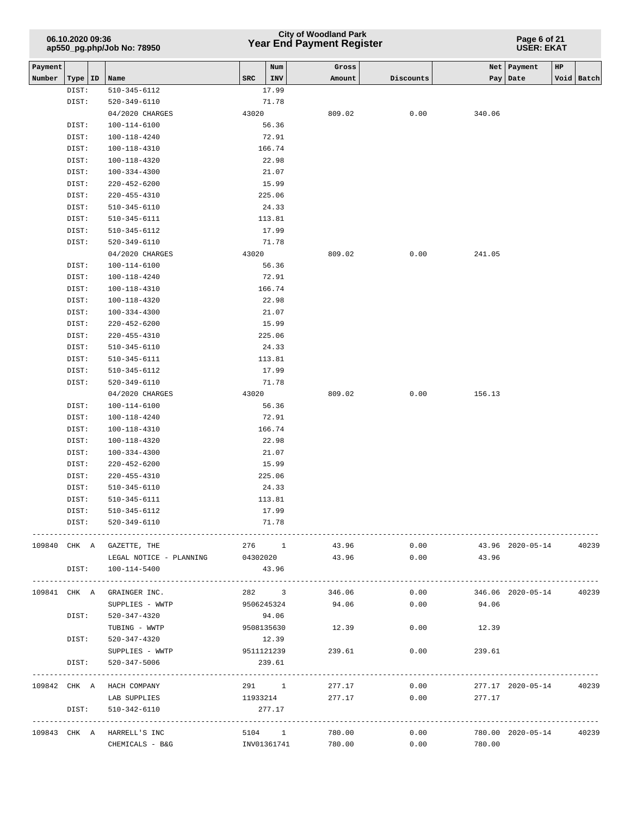## **Year End Payment Register City of Woodland Park 06.10.2020 09:36**

**Page 6 of 21 USER: EKAT**

| Payment |              |                            |          | Num         | Gross           |                |                | Net   Payment           | $_{\rm HP}$ |            |
|---------|--------------|----------------------------|----------|-------------|-----------------|----------------|----------------|-------------------------|-------------|------------|
| Number  | Type   ID    | Name                       | SRC      | INV         | Amount          | Discounts      |                | Pay   Date              |             | Void Batch |
|         | DIST:        | 510-345-6112               |          | 17.99       |                 |                |                |                         |             |            |
|         | DIST:        | 520-349-6110               |          | 71.78       |                 |                |                |                         |             |            |
|         |              | 04/2020 CHARGES            | 43020    |             | 809.02          | 0.00           | 340.06         |                         |             |            |
|         | DIST:        | 100-114-6100               |          | 56.36       |                 |                |                |                         |             |            |
|         | DIST:        | 100-118-4240               |          | 72.91       |                 |                |                |                         |             |            |
|         | DIST:        | $100 - 118 - 4310$         |          | 166.74      |                 |                |                |                         |             |            |
|         | DIST:        | 100-118-4320               |          | 22.98       |                 |                |                |                         |             |            |
|         | DIST:        | 100-334-4300               |          | 21.07       |                 |                |                |                         |             |            |
|         | DIST:        | $220 - 452 - 6200$         |          | 15.99       |                 |                |                |                         |             |            |
|         | DIST:        | $220 - 455 - 4310$         |          | 225.06      |                 |                |                |                         |             |            |
|         | DIST:        | 510-345-6110               |          | 24.33       |                 |                |                |                         |             |            |
|         | DIST:        | 510-345-6111               |          | 113.81      |                 |                |                |                         |             |            |
|         | DIST:        | 510-345-6112               |          | 17.99       |                 |                |                |                         |             |            |
|         | DIST:        | $520 - 349 - 6110$         |          | 71.78       |                 |                |                |                         |             |            |
|         |              | 04/2020 CHARGES            | 43020    |             | 809.02          | 0.00           | 241.05         |                         |             |            |
|         | DIST:        | 100-114-6100               |          | 56.36       |                 |                |                |                         |             |            |
|         | DIST:        | 100-118-4240               |          | 72.91       |                 |                |                |                         |             |            |
|         | DIST:        | 100-118-4310               |          | 166.74      |                 |                |                |                         |             |            |
|         | DIST:        | $100 - 118 - 4320$         |          | 22.98       |                 |                |                |                         |             |            |
|         | DIST:        | 100-334-4300               |          | 21.07       |                 |                |                |                         |             |            |
|         | DIST:        | $220 - 452 - 6200$         |          | 15.99       |                 |                |                |                         |             |            |
|         | DIST:        | $220 - 455 - 4310$         |          | 225.06      |                 |                |                |                         |             |            |
|         | DIST:        | 510-345-6110               |          | 24.33       |                 |                |                |                         |             |            |
|         | DIST:        | $510 - 345 - 6111$         |          | 113.81      |                 |                |                |                         |             |            |
|         | DIST:        | 510-345-6112               |          | 17.99       |                 |                |                |                         |             |            |
|         | DIST:        | $520 - 349 - 6110$         |          | 71.78       |                 |                |                |                         |             |            |
|         |              | 04/2020 CHARGES            | 43020    |             | 809.02          | 0.00           | 156.13         |                         |             |            |
|         | DIST:        | 100-114-6100               |          | 56.36       |                 |                |                |                         |             |            |
|         | DIST:        | 100-118-4240               |          | 72.91       |                 |                |                |                         |             |            |
|         | DIST:        | 100-118-4310               |          | 166.74      |                 |                |                |                         |             |            |
|         | DIST:        | 100-118-4320               |          | 22.98       |                 |                |                |                         |             |            |
|         | DIST:        | 100-334-4300               |          | 21.07       |                 |                |                |                         |             |            |
|         | DIST:        | 220-452-6200               |          | 15.99       |                 |                |                |                         |             |            |
|         | DIST:        | $220 - 455 - 4310$         |          | 225.06      |                 |                |                |                         |             |            |
|         | DIST:        | 510-345-6110               |          | 24.33       |                 |                |                |                         |             |            |
|         | DIST:        | 510-345-6111               |          | 113.81      |                 |                |                |                         |             |            |
|         | DIST:        | $510 - 345 - 6112$         |          | 17.99       |                 |                |                |                         |             |            |
|         | DIST:        | 520-349-6110               |          | 71.78       |                 |                |                |                         |             |            |
|         |              |                            |          |             |                 |                |                |                         |             |            |
|         |              | 109840 CHK A GAZETTE, THE  |          | 276 1       | 43.96           | 0.00           |                | 43.96 2020-05-14        |             | 40239      |
|         |              | LEGAL NOTICE - PLANNING    | 04302020 |             | 43.96           | 0.00           | 43.96          |                         |             |            |
|         | DIST:        | 100-114-5400               |          | 43.96       |                 |                |                |                         |             |            |
|         |              |                            |          |             |                 |                |                |                         |             |            |
|         | 109841 CHK A | GRAINGER INC.              |          |             | 282 3 346.06    | 0.00           |                | 346.06 2020-05-14       |             | 40239      |
|         |              | SUPPLIES - WWTP            |          | 9506245324  | 94.06           | 0.00           | 94.06          |                         |             |            |
|         | DIST:        | 520-347-4320               |          | 94.06       |                 |                |                |                         |             |            |
|         |              | TUBING - WWTP              |          | 9508135630  | 12.39           | 0.00           | 12.39          |                         |             |            |
|         | DIST:        | 520-347-4320               |          | 12.39       |                 |                |                |                         |             |            |
|         |              | SUPPLIES - WWTP            |          | 9511121239  | 239.61          | 0.00           | 239.61         |                         |             |            |
|         | DIST:        | 520-347-5006               |          | 239.61      |                 |                |                |                         |             |            |
|         |              | 109842 CHK A HACH COMPANY  |          |             | 291 1           | 277.17<br>0.00 |                | 277.17 2020-05-14       |             | 40239      |
|         |              | LAB SUPPLIES               |          |             | 11933214 277.17 |                | 0.00<br>277.17 |                         |             |            |
|         | DIST:        | 510-342-6110               |          | 277.17      |                 |                |                |                         |             |            |
|         |              |                            |          |             |                 |                |                | ---------------------   |             |            |
|         |              | 109843 CHK A HARRELL'S INC |          | 5104 1      | 780.00          | 0.00           |                | 780.00 2020-05-14 40239 |             |            |
|         |              | CHEMICALS - B&G            |          | INV01361741 | 780.00          | 0.00           | 780.00         |                         |             |            |
|         |              |                            |          |             |                 |                |                |                         |             |            |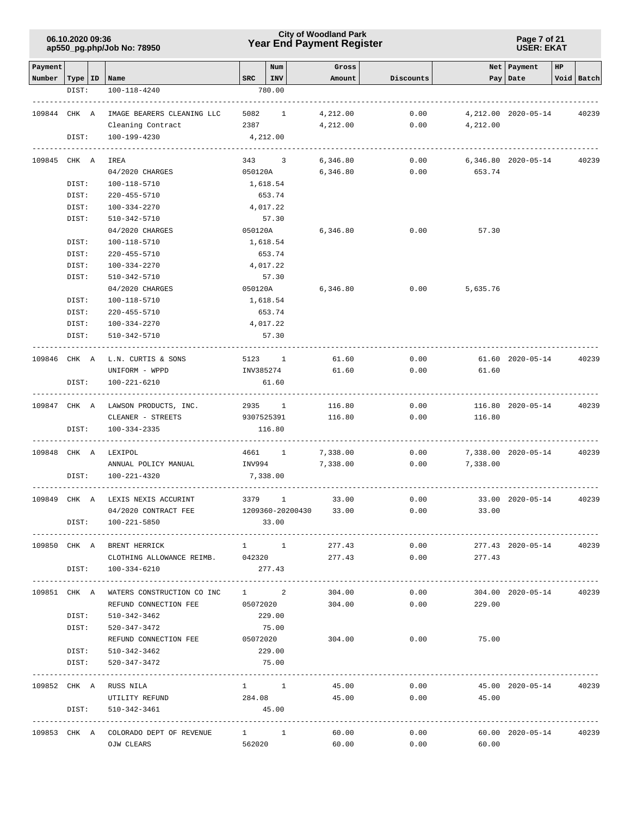### **Year End Payment Register City of Woodland Park 06.10.2020 09:36**

**Page 7 of 21 USER: EKAT**

| Payment |                    |                                           | Num                  | Gross    |           |          | Net   Payment        | HP |            |
|---------|--------------------|-------------------------------------------|----------------------|----------|-----------|----------|----------------------|----|------------|
|         | Number   Type   ID | Name                                      | $ $ INV<br>SRC       | Amount   | Discounts |          | Pay Date             |    | Void Batch |
|         | DIST:              | 100-118-4240                              | 780.00               |          |           |          |                      |    |            |
|         | 109844 CHK A       | IMAGE BEARERS CLEANING LLC                | 5082 1               | 4,212.00 | 0.00      |          | 4, 212.00 2020-05-14 |    | 40239      |
|         |                    | Cleaning Contract                         | 2387                 | 4,212.00 | 0.00      | 4,212.00 |                      |    |            |
|         | DIST:              | 100-199-4230                              | 4,212.00             |          |           |          |                      |    |            |
|         | 109845 CHK A       | IREA                                      | 343 3                | 6,346.80 | 0.00      |          | 6,346.80 2020-05-14  |    | 40239      |
|         |                    | 04/2020 CHARGES                           | 050120A              | 6,346.80 | 0.00      | 653.74   |                      |    |            |
|         | DIST:              | $100 - 118 - 5710$                        | 1,618.54             |          |           |          |                      |    |            |
|         | DIST:              | 220-455-5710                              | 653.74               |          |           |          |                      |    |            |
|         | DIST:              | 100-334-2270                              | 4,017.22             |          |           |          |                      |    |            |
|         | DIST:              | 510-342-5710                              | 57.30                |          |           |          |                      |    |            |
|         |                    | 04/2020 CHARGES                           | 050120A              | 6,346.80 | 0.00      | 57.30    |                      |    |            |
|         | DIST:              | 100-118-5710                              | 1,618.54             |          |           |          |                      |    |            |
|         | DIST:              | 220-455-5710                              | 653.74               |          |           |          |                      |    |            |
|         | DIST:              | 100-334-2270                              | 4,017.22             |          |           |          |                      |    |            |
|         | DIST:              | 510-342-5710                              | 57.30                |          |           |          |                      |    |            |
|         |                    | 04/2020 CHARGES                           | 050120A              | 6,346.80 | 0.00      | 5,635.76 |                      |    |            |
|         | DIST:              | 100-118-5710                              | 1,618.54             |          |           |          |                      |    |            |
|         | DIST:              | 220-455-5710                              | 653.74               |          |           |          |                      |    |            |
|         | DIST:              | 100-334-2270                              | 4,017.22             |          |           |          |                      |    |            |
|         | DIST:              | 510-342-5710                              | 57.30                |          |           |          |                      |    |            |
|         |                    | 109846 CHK A L.N. CURTIS & SONS           | 5123 1               | 61.60    | 0.00      |          | 61.60 2020-05-14     |    | 40239      |
|         |                    | UNIFORM - WPPD                            | INV385274            | 61.60    | 0.00      | 61.60    |                      |    |            |
|         |                    |                                           |                      |          |           |          |                      |    |            |
|         | DIST:              | 100-221-6210                              | 61.60                |          |           |          |                      |    |            |
|         |                    | 109847 CHK A LAWSON PRODUCTS, INC.        | 2935 1               | 116.80   | 0.00      |          | 116.80 2020-05-14    |    | 40239      |
|         |                    | CLEANER - STREETS                         | 9307525391           | 116.80   | 0.00      | 116.80   |                      |    |            |
|         | DIST:              | $100 - 334 - 2335$                        | 116.80               |          |           |          |                      |    |            |
|         | 109848 CHK A       | LEXIPOL                                   | 4661 1               | 7,338.00 | 0.00      |          | 7,338.00 2020-05-14  |    | 40239      |
|         |                    | ANNUAL POLICY MANUAL                      | INV994               | 7,338.00 | 0.00      | 7,338.00 |                      |    |            |
|         | DIST:              | 100-221-4320                              | 7,338.00             |          |           |          |                      |    |            |
|         | 109849 CHK A       | LEXIS NEXIS ACCURINT                      | 3379<br>$\mathbf{1}$ | 33.00    | 0.00      |          | 33.00 2020-05-14     |    | 40239      |
|         |                    | 04/2020 CONTRACT FEE                      | 1209360-20200430     | 33.00    | 0.00      | 33.00    |                      |    |            |
|         | DIST:              | 100-221-5850                              | 33.00                |          |           |          |                      |    |            |
|         |                    | 109850 CHK A BRENT HERRICK                | $1 \quad 1$          | 277.43   | 0.00      |          | 277.43 2020-05-14    |    | 40239      |
|         |                    | CLOTHING ALLOWANCE REIMB. 042320          |                      | 277.43   | 0.00      | 277.43   |                      |    |            |
|         | DIST:              | 100-334-6210                              | 277.43               |          |           |          |                      |    |            |
|         |                    |                                           |                      |          |           |          |                      |    |            |
|         |                    | 109851 CHK A WATERS CONSTRUCTION CO INC   | $1 \qquad \qquad 2$  | 304.00   | 0.00      |          | 304.00 2020-05-14    |    | 40239      |
|         |                    | REFUND CONNECTION FEE                     | 05072020             | 304.00   | 0.00      | 229.00   |                      |    |            |
|         | DIST:              | 510-342-3462                              | 229.00               |          |           |          |                      |    |            |
|         | DIST:              | 520-347-3472                              | 75.00                |          |           |          |                      |    |            |
|         |                    | REFUND CONNECTION FEE 05072020            |                      | 304.00   | 0.00      | 75.00    |                      |    |            |
|         | DIST:<br>DIST:     | 510-342-3462<br>520-347-3472              | 229.00<br>75.00      |          |           |          |                      |    |            |
|         |                    |                                           |                      |          |           |          |                      |    |            |
|         |                    | 109852 CHK A RUSS NILA                    | $1 \quad 1$          | 45.00    | 0.00      |          | 45.00 2020-05-14     |    | 40239      |
|         |                    | UTILITY REFUND                            | 284.08               | 45.00    | 0.00      | 45.00    |                      |    |            |
|         | DIST:              | 510-342-3461                              | 45.00                |          |           |          |                      |    |            |
|         |                    | 109853 CHK A COLORADO DEPT OF REVENUE 1 1 |                      | 60.00    | 0.00      |          | 60.00 2020-05-14     |    | 40239      |
|         |                    | OJW CLEARS                                | 562020               | 60.00    | 0.00      | 60.00    |                      |    |            |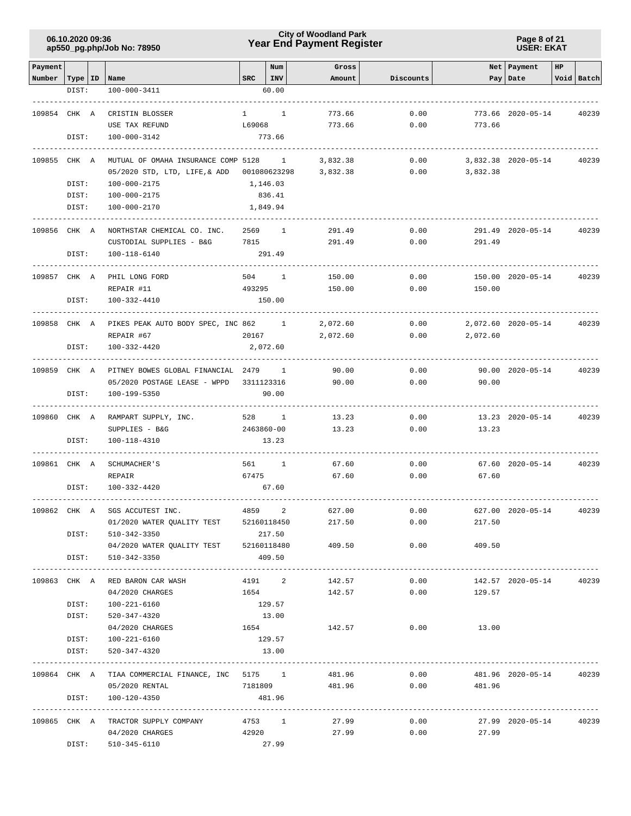**Page 8 of 21 USER: EKAT**

| Payment                   |       |                                                   |                  | Num            | Gross    |           |              | Net Payment             | HP |            |
|---------------------------|-------|---------------------------------------------------|------------------|----------------|----------|-----------|--------------|-------------------------|----|------------|
| Number   Type   ID   Name |       |                                                   | SRC              | INV            | Amount   | Discounts |              | Pay Date                |    | Void Batch |
|                           | DIST: | 100-000-3411                                      |                  | 60.00          |          |           |              |                         |    |            |
|                           |       |                                                   |                  |                |          |           |              |                         |    |            |
| 109854 CHK A              |       | CRISTIN BLOSSER                                   | $1 \quad \cdots$ | $\mathbf{1}$   | 773.66   | 0.00      |              | 773.66 2020-05-14       |    | 40239      |
|                           |       | USE TAX REFUND                                    | L69068           |                | 773.66   | 0.00      | 773.66       |                         |    |            |
|                           | DIST: | 100-000-3142                                      |                  | 773.66         |          |           |              |                         |    |            |
| 109855 CHK A              |       | MUTUAL OF OMAHA INSURANCE COMP 5128 1             |                  |                |          | 0.00      |              |                         |    | 40239      |
|                           |       | 05/2020 STD, LTD, LIFE, & ADD 001080623298        |                  |                | 3,832.38 |           |              | 3,832.38 2020-05-14     |    |            |
|                           |       |                                                   |                  |                | 3,832.38 | 0.00      | 3,832.38     |                         |    |            |
|                           | DIST: | 100-000-2175                                      | 1,146.03         |                |          |           |              |                         |    |            |
|                           | DIST: | 100-000-2175                                      |                  | 836.41         |          |           |              |                         |    |            |
|                           | DIST: | 100-000-2170                                      |                  | 1,849.94       |          |           |              |                         |    |            |
| 109856 CHK A              |       | NORTHSTAR CHEMICAL CO. INC.                       | 2569             | $\overline{1}$ | 291.49   | 0.00      |              | 291.49 2020-05-14       |    | 40239      |
|                           |       | CUSTODIAL SUPPLIES - B&G                          | 7815             |                | 291.49   | 0.00      | 291.49       |                         |    |            |
|                           | DIST: | 100-118-6140                                      |                  | 291.49         |          |           |              |                         |    |            |
|                           |       |                                                   |                  |                |          |           |              |                         |    |            |
| 109857 CHK A              |       | PHIL LONG FORD                                    | 504              | $\mathbf{1}$   | 150.00   | 0.00      |              | 150.00 2020-05-14       |    | 40239      |
|                           | DIST: | REPAIR #11<br>100-332-4410                        | 493295           | 150.00         | 150.00   | 0.00      | 150.00       |                         |    |            |
|                           |       |                                                   |                  |                |          |           |              |                         |    |            |
| 109858 CHK A              |       | PIKES PEAK AUTO BODY SPEC, INC 862 1              |                  |                | 2,072.60 | 0.00      |              | 2,072.60 2020-05-14     |    | 40239      |
|                           |       | REPAIR #67                                        | 20167            |                | 2,072.60 | 0.00      | 2,072.60     |                         |    |            |
|                           | DIST: | 100-332-4420                                      |                  | 2,072.60       |          |           |              |                         |    |            |
|                           |       |                                                   |                  |                |          |           |              |                         |    |            |
|                           |       | 109859 CHK A PITNEY BOWES GLOBAL FINANCIAL 2479 1 |                  |                | 90.00    | 0.00      |              | 90.00 2020-05-14        |    | 40239      |
|                           |       | 05/2020 POSTAGE LEASE - WPPD                      | 3311123316       |                | 90.00    | 0.00      | 90.00        |                         |    |            |
|                           | DIST: | 100-199-5350                                      |                  | 90.00          |          |           |              |                         |    |            |
| 109860 CHK A              |       | RAMPART SUPPLY, INC.                              | 528 1            |                | 13.23    | 0.00      |              | 13.23 2020-05-14        |    | 40239      |
|                           |       | SUPPLIES - B&G                                    | 2463860-00       |                | 13.23    | 0.00      | 13.23        |                         |    |            |
|                           | DIST: | 100-118-4310                                      |                  | 13.23          |          |           |              |                         |    |            |
| 109861 CHK A              |       | SCHUMACHER'S                                      | 561 1            |                | 67.60    | 0.00      |              | 67.60 2020-05-14        |    | 40239      |
|                           |       | REPAIR                                            | 67475            |                | 67.60    | 0.00      | 67.60        |                         |    |            |
|                           | DIST: | 100-332-4420                                      |                  | 67.60          |          |           |              |                         |    |            |
|                           |       |                                                   |                  |                |          |           |              |                         |    |            |
| 109862 CHK A              |       | SGS ACCUTEST INC.                                 | 4859             | 2              | 627.00   | 0.00      |              | 627.00 2020-05-14       |    | 40239      |
|                           |       | 01/2020 WATER QUALITY TEST 52160118450            |                  |                | 217.50   | 0.00      | 217.50       |                         |    |            |
|                           |       | DIST: 510-342-3350                                |                  | 217.50         |          |           |              |                         |    |            |
|                           |       | 04/2020 WATER QUALITY TEST 52160118480            |                  |                | 409.50   | 0.00      | 409.50       |                         |    |            |
|                           |       | DIST: 510-342-3350                                |                  | 409.50         |          |           |              |                         |    |            |
|                           |       | 109863 CHK A RED BARON CAR WASH                   |                  | 4191 2         | 142.57   | 0.00      |              | 142.57 2020-05-14       |    | 40239      |
|                           |       | 04/2020 CHARGES                                   | 1654             |                | 142.57   | 0.00      | 129.57       |                         |    |            |
|                           | DIST: | 100-221-6160                                      |                  | 129.57         |          |           |              |                         |    |            |
|                           | DIST: | 520-347-4320                                      |                  | 13.00          |          |           |              |                         |    |            |
|                           |       | 04/2020 CHARGES                                   | 1654             |                | 142.57   | 0.00      | 13.00        |                         |    |            |
|                           | DIST: | 100-221-6160                                      |                  | 129.57         |          |           |              |                         |    |            |
|                           | DIST: | 520-347-4320                                      |                  | 13.00          |          |           |              |                         |    |            |
|                           |       |                                                   |                  |                |          |           |              |                         |    |            |
|                           |       | 109864 CHK A TIAA COMMERCIAL FINANCE, INC 5175 1  |                  |                | 481.96   | 0.00      |              | 481.96 2020-05-14 40239 |    |            |
|                           |       | 05/2020 RENTAL                                    |                  | 7181809        | 481.96   | 0.00      | 481.96       |                         |    |            |
|                           | DIST: | 100-120-4350                                      |                  | 481.96         |          |           |              |                         |    |            |
|                           |       | 109865 CHK A TRACTOR SUPPLY COMPANY               |                  | 4753 1         | 27.99    | 0.00      |              | 27.99 2020-05-14        |    | 40239      |
|                           |       | 04/2020 CHARGES                                   | 42920            |                | 27.99    |           | $0.00$ 27.99 |                         |    |            |
|                           | DIST: | 510-345-6110                                      |                  | 27.99          |          |           |              |                         |    |            |
|                           |       |                                                   |                  |                |          |           |              |                         |    |            |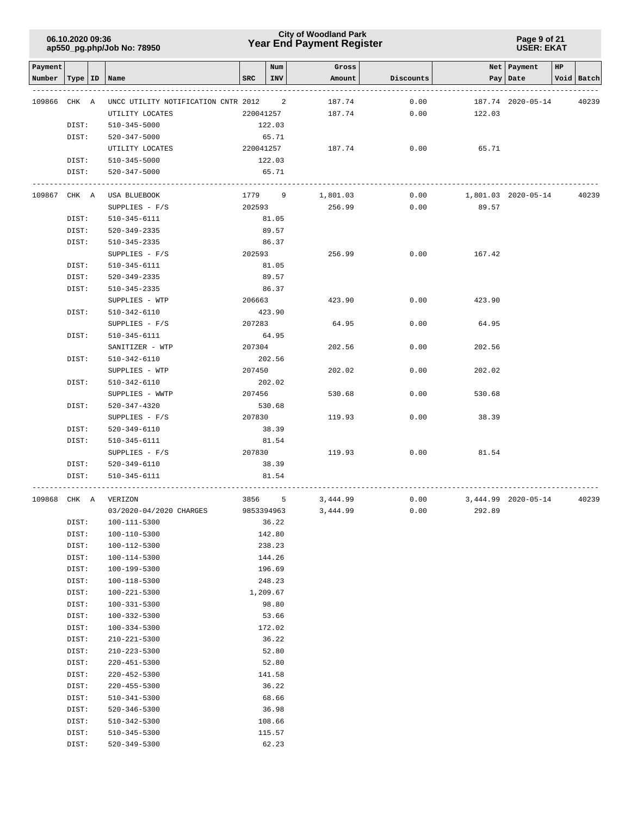### **Year End Payment Register City of Woodland Park 06.10.2020 09:36**

#### **Page 9 of 21 USER: EKAT**

| Payment      |       |           |                                     |            | Num        | Gross    |           |        | Net   Payment       | HP |            |
|--------------|-------|-----------|-------------------------------------|------------|------------|----------|-----------|--------|---------------------|----|------------|
| Number       |       | Type   ID | Name                                | <b>SRC</b> | INV        | Amount   | Discounts | Pay    | Date                |    | Void Batch |
| 109866       | CHK A |           | UNCC UTILITY NOTIFICATION CNTR 2012 |            | 2          | 187.74   | 0.00      |        | 187.74 2020-05-14   |    | 40239      |
|              |       |           | UTILITY LOCATES                     | 220041257  |            | 187.74   | 0.00      | 122.03 |                     |    |            |
|              | DIST: |           | 510-345-5000                        |            | 122.03     |          |           |        |                     |    |            |
|              | DIST: |           | 520-347-5000                        |            | 65.71      |          |           |        |                     |    |            |
|              |       |           | UTILITY LOCATES                     |            | 220041257  | 187.74   | 0.00      | 65.71  |                     |    |            |
|              | DIST: |           | 510-345-5000                        |            | 122.03     |          |           |        |                     |    |            |
|              | DIST: |           | 520-347-5000                        |            | 65.71      |          |           |        |                     |    |            |
|              |       |           |                                     |            |            |          |           |        |                     |    |            |
| 109867 CHK A |       |           | USA BLUEBOOK                        |            | 1779 9     | 1,801.03 | 0.00      |        | 1,801.03 2020-05-14 |    | 40239      |
|              |       |           | $SUPPLIES - F/S$                    | 202593     |            | 256.99   | 0.00      | 89.57  |                     |    |            |
|              | DIST: |           | 510-345-6111                        |            | 81.05      |          |           |        |                     |    |            |
|              | DIST: |           | 520-349-2335                        |            | 89.57      |          |           |        |                     |    |            |
|              | DIST: |           | 510-345-2335                        |            | 86.37      |          |           |        |                     |    |            |
|              |       |           | SUPPLIES - $F/S$                    |            | 202593     | 256.99   | 0.00      | 167.42 |                     |    |            |
|              | DIST: |           | 510-345-6111                        |            | 81.05      |          |           |        |                     |    |            |
|              | DIST: |           | 520-349-2335                        |            | 89.57      |          |           |        |                     |    |            |
|              | DIST: |           | 510-345-2335                        |            | 86.37      |          |           |        |                     |    |            |
|              |       |           | SUPPLIES - WTP                      | 206663     |            | 423.90   | 0.00      | 423.90 |                     |    |            |
|              | DIST: |           | 510-342-6110                        |            | 423.90     |          |           |        |                     |    |            |
|              |       |           | $SUPPLIES - F/S$                    | 207283     |            | 64.95    | 0.00      | 64.95  |                     |    |            |
|              | DIST: |           | 510-345-6111                        |            | 64.95      |          |           |        |                     |    |            |
|              |       |           | SANITIZER - WTP                     | 207304     |            | 202.56   | 0.00      | 202.56 |                     |    |            |
|              | DIST: |           | 510-342-6110                        |            | 202.56     |          |           |        |                     |    |            |
|              |       |           | SUPPLIES - WTP                      | 207450     |            | 202.02   | 0.00      | 202.02 |                     |    |            |
|              | DIST: |           | $510 - 342 - 6110$                  |            | 202.02     |          |           |        |                     |    |            |
|              |       |           | SUPPLIES - WWTP                     | 207456     |            | 530.68   | 0.00      | 530.68 |                     |    |            |
|              | DIST: |           | 520-347-4320                        |            | 530.68     |          |           |        |                     |    |            |
|              |       |           | SUPPLIES - $F/S$                    | 207830     |            | 119.93   | 0.00      | 38.39  |                     |    |            |
|              | DIST: |           | 520-349-6110                        |            | 38.39      |          |           |        |                     |    |            |
|              | DIST: |           | 510-345-6111                        |            | 81.54      |          |           |        |                     |    |            |
|              |       |           | $SUPPLIES - F/S$                    | 207830     |            | 119.93   | 0.00      | 81.54  |                     |    |            |
|              | DIST: |           | 520-349-6110                        |            | 38.39      |          |           |        |                     |    |            |
|              | DIST: |           | 510-345-6111                        |            | 81.54      |          |           |        |                     |    |            |
| 109868 CHK A |       |           | VERIZON                             | 3856       | 5          | 3,444.99 | 0.00      |        | 3,444.99 2020-05-14 |    | 40239      |
|              |       |           | 03/2020-04/2020 CHARGES             |            | 9853394963 | 3,444.99 | 0.00      | 292.89 |                     |    |            |
|              | DIST: |           | 100-111-5300                        |            | 36.22      |          |           |        |                     |    |            |
|              | DIST: |           | 100-110-5300                        |            | 142.80     |          |           |        |                     |    |            |
|              | DIST: |           | $100 - 112 - 5300$                  |            | 238.23     |          |           |        |                     |    |            |
|              | DIST: |           | 100-114-5300                        |            | 144.26     |          |           |        |                     |    |            |
|              | DIST: |           | 100-199-5300                        |            | 196.69     |          |           |        |                     |    |            |
|              | DIST: |           | 100-118-5300                        |            | 248.23     |          |           |        |                     |    |            |
|              | DIST: |           | 100-221-5300                        |            | 1,209.67   |          |           |        |                     |    |            |
|              | DIST: |           | 100-331-5300                        |            | 98.80      |          |           |        |                     |    |            |
|              | DIST: |           | 100-332-5300                        |            | 53.66      |          |           |        |                     |    |            |
|              | DIST: |           | $100 - 334 - 5300$                  |            | 172.02     |          |           |        |                     |    |            |
|              | DIST: |           | 210-221-5300                        |            | 36.22      |          |           |        |                     |    |            |
|              | DIST: |           | $210 - 223 - 5300$                  |            | 52.80      |          |           |        |                     |    |            |
|              | DIST: |           | 220-451-5300                        |            | 52.80      |          |           |        |                     |    |            |
|              | DIST: |           | $220 - 452 - 5300$                  |            | 141.58     |          |           |        |                     |    |            |
|              | DIST: |           | $220 - 455 - 5300$                  |            | 36.22      |          |           |        |                     |    |            |
|              | DIST: |           | 510-341-5300                        |            | 68.66      |          |           |        |                     |    |            |
|              | DIST: |           | 520-346-5300                        |            | 36.98      |          |           |        |                     |    |            |
|              | DIST: |           | 510-342-5300                        |            | 108.66     |          |           |        |                     |    |            |
|              | DIST: |           | $510 - 345 - 5300$                  |            | 115.57     |          |           |        |                     |    |            |
|              | DIST: |           | 520-349-5300                        |            | 62.23      |          |           |        |                     |    |            |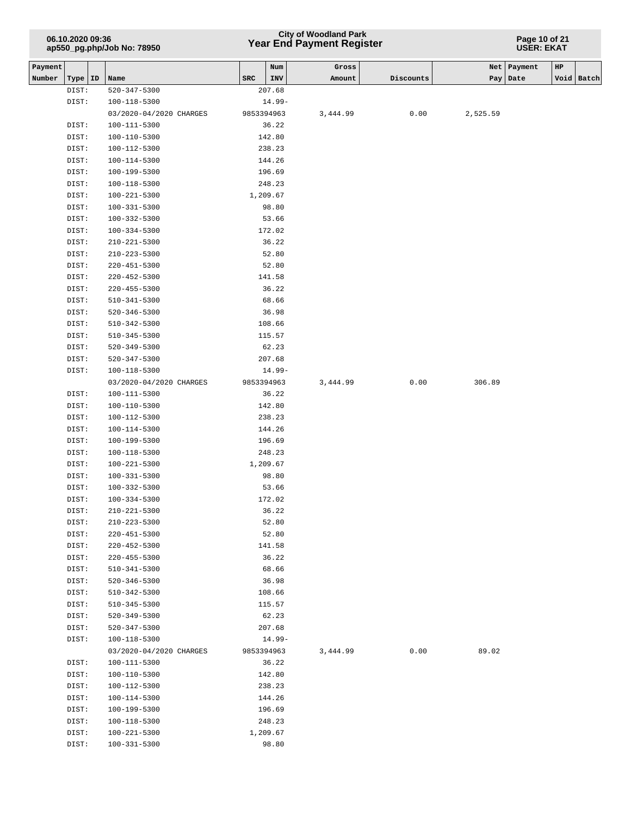## **Year End Payment Register City of Woodland Park 06.10.2020 09:36**

**Page 10 of 21 USER: EKAT**

| Payment |                |                                         |     | Num                    | Gross    |           |          | Net   Payment | HP |            |
|---------|----------------|-----------------------------------------|-----|------------------------|----------|-----------|----------|---------------|----|------------|
| Number  | Type   ID      | Name                                    | SRC | INV                    | Amount   | Discounts |          | Pay   Date    |    | Void Batch |
|         | DIST:          | 520-347-5300                            |     | 207.68                 |          |           |          |               |    |            |
|         | DIST:          | 100-118-5300<br>03/2020-04/2020 CHARGES |     | $14.99-$<br>9853394963 | 3,444.99 | 0.00      | 2,525.59 |               |    |            |
|         |                |                                         |     |                        |          |           |          |               |    |            |
|         | DIST:          | 100-111-5300<br>100-110-5300            |     | 36.22<br>142.80        |          |           |          |               |    |            |
|         | DIST:<br>DIST: | 100-112-5300                            |     | 238.23                 |          |           |          |               |    |            |
|         | DIST:          | 100-114-5300                            |     | 144.26                 |          |           |          |               |    |            |
|         | DIST:          | 100-199-5300                            |     | 196.69                 |          |           |          |               |    |            |
|         | DIST:          | $100 - 118 - 5300$                      |     | 248.23                 |          |           |          |               |    |            |
|         | DIST:          | 100-221-5300                            |     | 1,209.67               |          |           |          |               |    |            |
|         | DIST:          | 100-331-5300                            |     | 98.80                  |          |           |          |               |    |            |
|         | DIST:          | 100-332-5300                            |     | 53.66                  |          |           |          |               |    |            |
|         | DIST:          | 100-334-5300                            |     | 172.02                 |          |           |          |               |    |            |
|         | DIST:          | 210-221-5300                            |     | 36.22                  |          |           |          |               |    |            |
|         | DIST:          | $210 - 223 - 5300$                      |     | 52.80                  |          |           |          |               |    |            |
|         | DIST:          | $220 - 451 - 5300$                      |     | 52.80                  |          |           |          |               |    |            |
|         | DIST:          | $220 - 452 - 5300$                      |     | 141.58                 |          |           |          |               |    |            |
|         | DIST:          | $220 - 455 - 5300$                      |     | 36.22                  |          |           |          |               |    |            |
|         | DIST:          | 510-341-5300                            |     | 68.66                  |          |           |          |               |    |            |
|         | DIST:          | $520 - 346 - 5300$                      |     | 36.98                  |          |           |          |               |    |            |
|         | DIST:          | 510-342-5300                            |     | 108.66                 |          |           |          |               |    |            |
|         | DIST:          | 510-345-5300                            |     | 115.57                 |          |           |          |               |    |            |
|         | DIST:          | 520-349-5300                            |     | 62.23                  |          |           |          |               |    |            |
|         | DIST:          | 520-347-5300                            |     | 207.68                 |          |           |          |               |    |            |
|         | DIST:          | 100-118-5300                            |     | $14.99-$               |          |           |          |               |    |            |
|         |                | 03/2020-04/2020 CHARGES                 |     | 9853394963             | 3,444.99 | 0.00      | 306.89   |               |    |            |
|         | DIST:          | 100-111-5300                            |     | 36.22                  |          |           |          |               |    |            |
|         | DIST:          | 100-110-5300                            |     | 142.80                 |          |           |          |               |    |            |
|         | DIST:          | 100-112-5300                            |     | 238.23                 |          |           |          |               |    |            |
|         | DIST:          | 100-114-5300                            |     | 144.26                 |          |           |          |               |    |            |
|         | DIST:          | 100-199-5300                            |     | 196.69                 |          |           |          |               |    |            |
|         | DIST:          | 100-118-5300                            |     | 248.23                 |          |           |          |               |    |            |
|         | DIST:          | 100-221-5300                            |     | 1,209.67               |          |           |          |               |    |            |
|         | DIST:          | 100-331-5300                            |     | 98.80                  |          |           |          |               |    |            |
|         | DIST:          | 100-332-5300                            |     | 53.66                  |          |           |          |               |    |            |
|         | DIST:          | $100 - 334 - 5300$                      |     | 172.02                 |          |           |          |               |    |            |
|         | DIST:          | $210 - 221 - 5300$                      |     | 36.22                  |          |           |          |               |    |            |
|         | DIST:          | 210-223-5300                            |     | 52.80                  |          |           |          |               |    |            |
|         | DIST:          | $220 - 451 - 5300$                      |     | 52.80                  |          |           |          |               |    |            |
|         | DIST:          | 220-452-5300                            |     | 141.58                 |          |           |          |               |    |            |
|         | DIST:          | 220-455-5300                            |     | 36.22                  |          |           |          |               |    |            |
|         | DIST:          | 510-341-5300                            |     | 68.66                  |          |           |          |               |    |            |
|         | DIST:          | $520 - 346 - 5300$                      |     | 36.98                  |          |           |          |               |    |            |
|         | DIST:          | 510-342-5300                            |     | 108.66                 |          |           |          |               |    |            |
|         | DIST:          | $510 - 345 - 5300$                      |     | 115.57                 |          |           |          |               |    |            |
|         | DIST:          | $520 - 349 - 5300$                      |     | 62.23                  |          |           |          |               |    |            |
|         | DIST:          | 520-347-5300                            |     | 207.68                 |          |           |          |               |    |            |
|         | DIST:          | 100-118-5300                            |     | 14.99-                 |          |           |          |               |    |            |
|         | DIST:          | 03/2020-04/2020 CHARGES<br>100-111-5300 |     | 9853394963<br>36.22    | 3,444.99 | 0.00      | 89.02    |               |    |            |
|         |                |                                         |     | 142.80                 |          |           |          |               |    |            |
|         | DIST:<br>DIST: | 100-110-5300<br>100-112-5300            |     | 238.23                 |          |           |          |               |    |            |
|         | DIST:          | 100-114-5300                            |     | 144.26                 |          |           |          |               |    |            |
|         | DIST:          | 100-199-5300                            |     | 196.69                 |          |           |          |               |    |            |
|         | DIST:          | 100-118-5300                            |     | 248.23                 |          |           |          |               |    |            |
|         | DIST:          | 100-221-5300                            |     | 1,209.67               |          |           |          |               |    |            |
|         | DIST:          | 100-331-5300                            |     | 98.80                  |          |           |          |               |    |            |
|         |                |                                         |     |                        |          |           |          |               |    |            |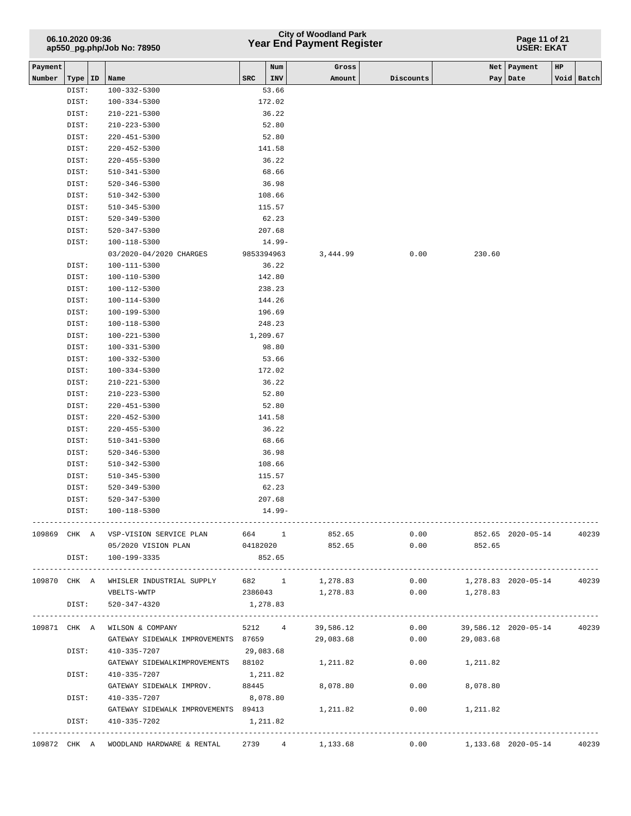## **Year End Payment Register City of Woodland Park 06.10.2020 09:36**

#### **Page 11 of 21 USER: EKAT**

| Payment |           |                                         |            | Num        | Gross            |           |                            | Net   Payment          | HP |            |
|---------|-----------|-----------------------------------------|------------|------------|------------------|-----------|----------------------------|------------------------|----|------------|
| Number  | Type   ID | Name                                    | <b>SRC</b> | INV        | Amount           | Discounts |                            | Pay   Date             |    | Void Batch |
|         | DIST:     | $100 - 332 - 5300$                      |            | 53.66      |                  |           |                            |                        |    |            |
|         | DIST:     | $100 - 334 - 5300$                      |            | 172.02     |                  |           |                            |                        |    |            |
|         | DIST:     | $210 - 221 - 5300$                      |            | 36.22      |                  |           |                            |                        |    |            |
|         | DIST:     | $210 - 223 - 5300$                      |            | 52.80      |                  |           |                            |                        |    |            |
|         | DIST:     | $220 - 451 - 5300$                      |            | 52.80      |                  |           |                            |                        |    |            |
|         | DIST:     | $220 - 452 - 5300$                      |            | 141.58     |                  |           |                            |                        |    |            |
|         | DIST:     | $220 - 455 - 5300$                      |            | 36.22      |                  |           |                            |                        |    |            |
|         | DIST:     | $510 - 341 - 5300$                      |            | 68.66      |                  |           |                            |                        |    |            |
|         | DIST:     | $520 - 346 - 5300$                      |            | 36.98      |                  |           |                            |                        |    |            |
|         | DIST:     | 510-342-5300                            |            | 108.66     |                  |           |                            |                        |    |            |
|         | DIST:     | $510 - 345 - 5300$                      |            | 115.57     |                  |           |                            |                        |    |            |
|         | DIST:     | $520 - 349 - 5300$                      |            | 62.23      |                  |           |                            |                        |    |            |
|         | DIST:     | 520-347-5300                            |            | 207.68     |                  |           |                            |                        |    |            |
|         | DIST:     | 100-118-5300                            |            | $14.99-$   |                  |           |                            |                        |    |            |
|         |           | 03/2020-04/2020 CHARGES                 |            | 9853394963 | 3,444.99         | 0.00      | 230.60                     |                        |    |            |
|         | DIST:     | 100-111-5300                            |            | 36.22      |                  |           |                            |                        |    |            |
|         | DIST:     | 100-110-5300                            |            | 142.80     |                  |           |                            |                        |    |            |
|         | DIST:     | 100-112-5300                            |            | 238.23     |                  |           |                            |                        |    |            |
|         | DIST:     | 100-114-5300                            |            | 144.26     |                  |           |                            |                        |    |            |
|         | DIST:     | 100-199-5300                            |            | 196.69     |                  |           |                            |                        |    |            |
|         | DIST:     | 100-118-5300                            |            | 248.23     |                  |           |                            |                        |    |            |
|         | DIST:     | $100 - 221 - 5300$                      |            | 1,209.67   |                  |           |                            |                        |    |            |
|         |           |                                         |            |            |                  |           |                            |                        |    |            |
|         | DIST:     | 100-331-5300                            |            | 98.80      |                  |           |                            |                        |    |            |
|         | DIST:     | 100-332-5300                            |            | 53.66      |                  |           |                            |                        |    |            |
|         | DIST:     | $100 - 334 - 5300$                      |            | 172.02     |                  |           |                            |                        |    |            |
|         | DIST:     | 210-221-5300                            |            | 36.22      |                  |           |                            |                        |    |            |
|         | DIST:     | 210-223-5300                            |            | 52.80      |                  |           |                            |                        |    |            |
|         | DIST:     | 220-451-5300                            |            | 52.80      |                  |           |                            |                        |    |            |
|         | DIST:     | $220 - 452 - 5300$                      |            | 141.58     |                  |           |                            |                        |    |            |
|         | DIST:     | $220 - 455 - 5300$                      |            | 36.22      |                  |           |                            |                        |    |            |
|         | DIST:     | 510-341-5300                            |            | 68.66      |                  |           |                            |                        |    |            |
|         | DIST:     | $520 - 346 - 5300$                      |            | 36.98      |                  |           |                            |                        |    |            |
|         | DIST:     | $510 - 342 - 5300$                      |            | 108.66     |                  |           |                            |                        |    |            |
|         | DIST:     | $510 - 345 - 5300$                      |            | 115.57     |                  |           |                            |                        |    |            |
|         | DIST:     | 520-349-5300                            |            | 62.23      |                  |           |                            |                        |    |            |
|         | DIST:     | 520-347-5300                            |            | 207.68     |                  |           |                            |                        |    |            |
|         | DIST:     | 100-118-5300                            |            | $14.99-$   |                  |           |                            |                        |    |            |
|         |           | 109869 CHK A VSP-VISION SERVICE PLAN    |            |            | 664 1<br>852.65  | 0.00      |                            | 852.65 2020-05-14      |    | 40239      |
|         |           |                                         |            |            | 04182020 852.65  |           |                            |                        |    |            |
|         |           | 05/2020 VISION PLAN                     |            |            |                  | 0.00      | 852.65                     |                        |    |            |
|         |           | DIST: 100-199-3335                      |            | 852.65     |                  |           |                            | ---------------------  |    |            |
|         |           | 109870 CHK A WHISLER INDUSTRIAL SUPPLY  | 682 1      |            | 1,278.83         | 0.00      |                            | 1,278.83 2020-05-14    |    | 40239      |
|         |           | VBELTS-WWTP                             | 2386043    |            | 1,278.83         | 0.00      | 1,278.83                   |                        |    |            |
|         | DIST:     | 520-347-4320                            | 1,278.83   |            |                  |           |                            |                        |    |            |
|         |           | ----------------------                  |            |            |                  |           |                            | ---------------------- |    |            |
|         |           | 109871 CHK A WILSON & COMPANY           |            |            | 5212 4 39,586.12 | 0.00      | 39,586.12 2020-05-14       |                        |    | 40239      |
|         |           | GATEWAY SIDEWALK IMPROVEMENTS 87659     |            |            | 29,083.68        | 0.00      | 29,083.68                  |                        |    |            |
|         | DIST:     | 410-335-7207                            | 29,083.68  |            |                  |           |                            |                        |    |            |
|         |           | GATEWAY SIDEWALKIMPROVEMENTS 88102      |            |            | 1,211.82         | 0.00      | 1,211.82                   |                        |    |            |
|         | DIST:     | 410-335-7207                            | 1,211.82   |            |                  |           |                            |                        |    |            |
|         |           | GATEWAY SIDEWALK IMPROV.                | 88445      |            | 8,078.80         | 0.00      | 8,078.80                   |                        |    |            |
|         | DIST:     | 410-335-7207                            | 8,078.80   |            |                  |           |                            |                        |    |            |
|         |           | GATEWAY SIDEWALK IMPROVEMENTS 89413     |            |            | 1,211.82         | 0.00      | 1,211.82                   |                        |    |            |
|         | DIST:     | 410-335-7202                            |            | 1,211.82   |                  |           |                            |                        |    |            |
|         |           |                                         |            |            |                  |           |                            |                        |    |            |
|         |           | 109872 CHK A WOODLAND HARDWARE & RENTAL |            |            | 2739 4 1,133.68  |           | $0.00$ 1,133.68 2020-05-14 |                        |    | 40239      |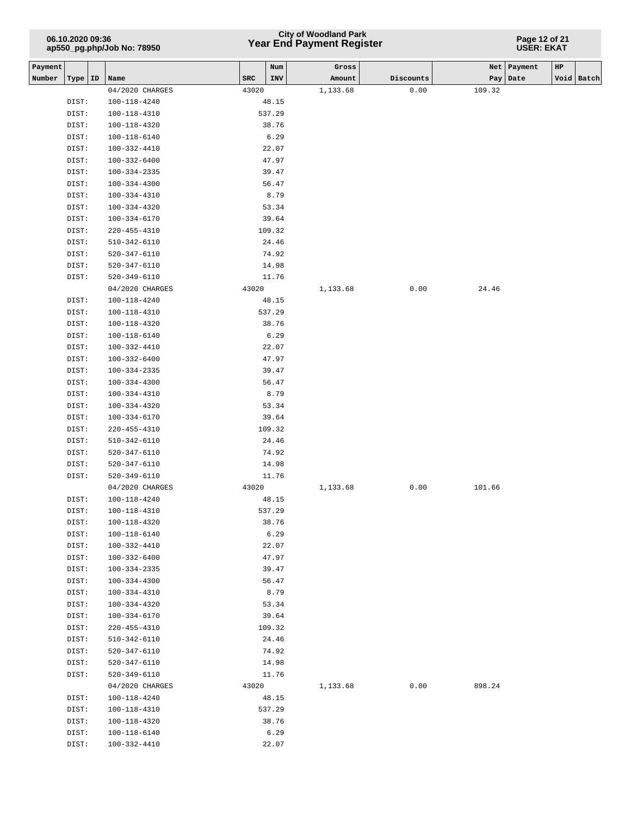## **Year End Payment Register City of Woodland Park 06.10.2020 09:36**

**Page 12 of 21 USER: EKAT**

| Payment |           |                    |       | Num    | Gross    |           |        | Net   Payment | HP |            |
|---------|-----------|--------------------|-------|--------|----------|-----------|--------|---------------|----|------------|
| Number  | Type   ID | Name               | SRC   | INV    | Amount   | Discounts |        | Pay   Date    |    | Void Batch |
|         |           | 04/2020 CHARGES    | 43020 |        | 1,133.68 | 0.00      | 109.32 |               |    |            |
|         | DIST:     | 100-118-4240       |       | 48.15  |          |           |        |               |    |            |
|         | DIST:     | 100-118-4310       |       | 537.29 |          |           |        |               |    |            |
|         | DIST:     | 100-118-4320       |       | 38.76  |          |           |        |               |    |            |
|         | DIST:     | 100-118-6140       |       | 6.29   |          |           |        |               |    |            |
|         | DIST:     | 100-332-4410       |       | 22.07  |          |           |        |               |    |            |
|         | DIST:     | 100-332-6400       |       | 47.97  |          |           |        |               |    |            |
|         | DIST:     | $100 - 334 - 2335$ |       | 39.47  |          |           |        |               |    |            |
|         | DIST:     | $100 - 334 - 4300$ |       | 56.47  |          |           |        |               |    |            |
|         | DIST:     | 100-334-4310       |       | 8.79   |          |           |        |               |    |            |
|         | DIST:     | 100-334-4320       |       | 53.34  |          |           |        |               |    |            |
|         | DIST:     | 100-334-6170       |       | 39.64  |          |           |        |               |    |            |
|         | DIST:     | 220-455-4310       |       | 109.32 |          |           |        |               |    |            |
|         | DIST:     | 510-342-6110       |       | 24.46  |          |           |        |               |    |            |
|         | DIST:     | 520-347-6110       |       | 74.92  |          |           |        |               |    |            |
|         | DIST:     | 520-347-6110       |       | 14.98  |          |           |        |               |    |            |
|         | DIST:     | 520-349-6110       |       | 11.76  |          |           |        |               |    |            |
|         |           |                    |       |        |          |           | 24.46  |               |    |            |
|         |           | 04/2020 CHARGES    | 43020 |        | 1,133.68 | 0.00      |        |               |    |            |
|         | DIST:     | 100-118-4240       |       | 48.15  |          |           |        |               |    |            |
|         | DIST:     | 100-118-4310       |       | 537.29 |          |           |        |               |    |            |
|         | DIST:     | 100-118-4320       |       | 38.76  |          |           |        |               |    |            |
|         | DIST:     | 100-118-6140       |       | 6.29   |          |           |        |               |    |            |
|         | DIST:     | 100-332-4410       |       | 22.07  |          |           |        |               |    |            |
|         | DIST:     | 100-332-6400       |       | 47.97  |          |           |        |               |    |            |
|         | DIST:     | 100-334-2335       |       | 39.47  |          |           |        |               |    |            |
|         | DIST:     | 100-334-4300       |       | 56.47  |          |           |        |               |    |            |
|         | DIST:     | 100-334-4310       |       | 8.79   |          |           |        |               |    |            |
|         | DIST:     | 100-334-4320       |       | 53.34  |          |           |        |               |    |            |
|         | DIST:     | 100-334-6170       |       | 39.64  |          |           |        |               |    |            |
|         | DIST:     | 220-455-4310       |       | 109.32 |          |           |        |               |    |            |
|         | DIST:     | 510-342-6110       |       | 24.46  |          |           |        |               |    |            |
|         | DIST:     | 520-347-6110       |       | 74.92  |          |           |        |               |    |            |
|         | DIST:     | 520-347-6110       |       | 14.98  |          |           |        |               |    |            |
|         | DIST:     | 520-349-6110       |       | 11.76  |          |           |        |               |    |            |
|         |           | 04/2020 CHARGES    | 43020 |        | 1,133.68 | 0.00      | 101.66 |               |    |            |
|         | DIST:     | 100-118-4240       |       | 48.15  |          |           |        |               |    |            |
|         | DIST:     | 100-118-4310       |       | 537.29 |          |           |        |               |    |            |
|         | DIST:     | $100 - 118 - 4320$ |       | 38.76  |          |           |        |               |    |            |
|         | DIST:     | 100-118-6140       |       | 6.29   |          |           |        |               |    |            |
|         | DIST:     | 100-332-4410       |       | 22.07  |          |           |        |               |    |            |
|         | DIST:     | 100-332-6400       |       | 47.97  |          |           |        |               |    |            |
|         | DIST:     | 100-334-2335       |       | 39.47  |          |           |        |               |    |            |
|         | DIST:     | 100-334-4300       |       | 56.47  |          |           |        |               |    |            |
|         | DIST:     | 100-334-4310       |       | 8.79   |          |           |        |               |    |            |
|         | DIST:     | 100-334-4320       |       | 53.34  |          |           |        |               |    |            |
|         | DIST:     | 100-334-6170       |       | 39.64  |          |           |        |               |    |            |
|         | DIST:     | 220-455-4310       |       | 109.32 |          |           |        |               |    |            |
|         | DIST:     | 510-342-6110       |       | 24.46  |          |           |        |               |    |            |
|         | DIST:     | 520-347-6110       |       | 74.92  |          |           |        |               |    |            |
|         | DIST:     | 520-347-6110       |       | 14.98  |          |           |        |               |    |            |
|         | DIST:     | 520-349-6110       |       | 11.76  |          |           |        |               |    |            |
|         |           | 04/2020 CHARGES    | 43020 |        | 1,133.68 | 0.00      | 898.24 |               |    |            |
|         | DIST:     | 100-118-4240       |       | 48.15  |          |           |        |               |    |            |
|         | DIST:     | 100-118-4310       |       | 537.29 |          |           |        |               |    |            |
|         | DIST:     | $100 - 118 - 4320$ |       | 38.76  |          |           |        |               |    |            |
|         | DIST:     | 100-118-6140       |       | 6.29   |          |           |        |               |    |            |
|         | DIST:     | 100-332-4410       |       | 22.07  |          |           |        |               |    |            |
|         |           |                    |       |        |          |           |        |               |    |            |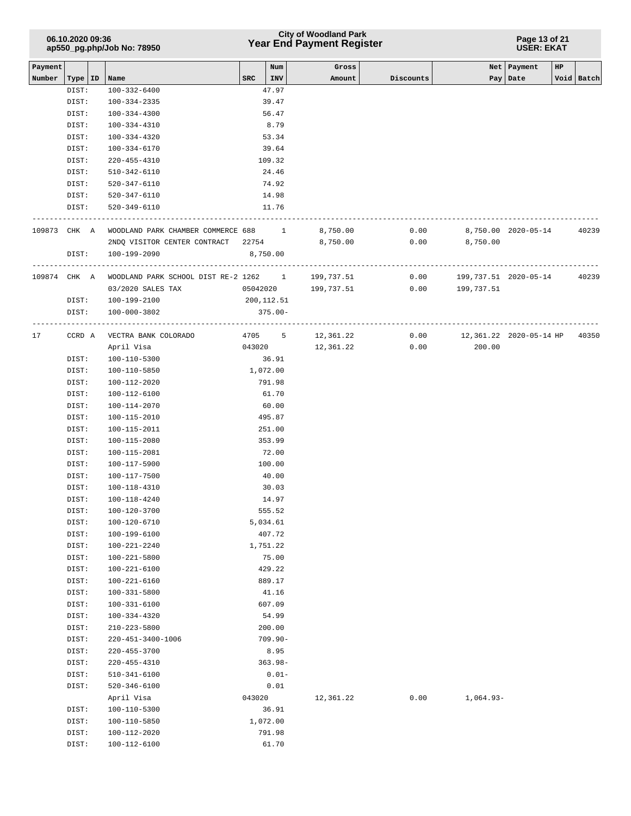## **Year End Payment Register City of Woodland Park 06.10.2020 09:36**

#### **Page 13 of 21 USER: EKAT**

| Payment |                |                                       |            | Num             | Gross               |           | Net         | Payment                 | HP |            |
|---------|----------------|---------------------------------------|------------|-----------------|---------------------|-----------|-------------|-------------------------|----|------------|
| Number  | Type   ID      | Name                                  | SRC        | INV             | Amount              | Discounts |             | Pay   Date              |    | Void Batch |
|         | DIST:          | 100-332-6400                          |            | 47.97           |                     |           |             |                         |    |            |
|         | DIST:          | 100-334-2335                          |            | 39.47           |                     |           |             |                         |    |            |
|         | DIST:          | $100 - 334 - 4300$                    |            | 56.47           |                     |           |             |                         |    |            |
|         | DIST:          | 100-334-4310                          |            | 8.79            |                     |           |             |                         |    |            |
|         | DIST:          | 100-334-4320                          |            | 53.34           |                     |           |             |                         |    |            |
|         | DIST:          | 100-334-6170                          |            | 39.64           |                     |           |             |                         |    |            |
|         | DIST:          | 220-455-4310                          |            | 109.32          |                     |           |             |                         |    |            |
|         | DIST:          | 510-342-6110                          |            | 24.46           |                     |           |             |                         |    |            |
|         | DIST:          | 520-347-6110                          |            | 74.92           |                     |           |             |                         |    |            |
|         | DIST:          | 520-347-6110                          |            | 14.98           |                     |           |             |                         |    |            |
|         | DIST:          | 520-349-6110                          |            | 11.76           |                     |           |             |                         |    |            |
|         |                |                                       |            |                 |                     |           |             |                         |    |            |
| 109873  | CHK A          | WOODLAND PARK CHAMBER COMMERCE 688 1  |            |                 | 8,750.00            | 0.00      |             | 8,750.00 2020-05-14     |    | 40239      |
|         |                | 2NDQ VISITOR CENTER CONTRACT 22754    |            |                 | 8,750.00            | 0.00      | 8,750.00    |                         |    |            |
|         | DIST:          | 100-199-2090                          |            | 8,750.00        |                     |           |             |                         |    |            |
|         |                |                                       |            |                 |                     |           |             |                         |    |            |
| 109874  | CHK A          | WOODLAND PARK SCHOOL DIST RE-2 1262 1 |            |                 | 199,737.51          | 0.00      |             | 199, 737.51 2020-05-14  |    | 40239      |
|         |                | 03/2020 SALES TAX                     |            |                 | 05042020 199,737.51 | 0.00      | 199,737.51  |                         |    |            |
|         | DIST:          | 100-199-2100                          | 200,112.51 |                 |                     |           |             |                         |    |            |
|         | DIST:          | 100-000-3802                          |            | $375.00 -$      |                     |           |             |                         |    |            |
|         |                |                                       |            |                 |                     |           |             |                         |    |            |
| 17      | CCRD A         | VECTRA BANK COLORADO                  | 4705       | 5               | 12,361.22           | 0.00      |             | 12,361.22 2020-05-14 HP |    | 40350      |
|         |                | April Visa                            | 043020     |                 | 12,361.22           | 0.00      | 200.00      |                         |    |            |
|         | DIST:          | 100-110-5300                          |            | 36.91           |                     |           |             |                         |    |            |
|         | DIST:          | 100-110-5850                          |            | 1,072.00        |                     |           |             |                         |    |            |
|         | DIST:          | 100-112-2020                          |            | 791.98          |                     |           |             |                         |    |            |
|         | DIST:          | 100-112-6100                          |            | 61.70           |                     |           |             |                         |    |            |
|         | DIST:          | 100-114-2070                          |            | 60.00           |                     |           |             |                         |    |            |
|         | DIST:          | 100-115-2010                          |            | 495.87          |                     |           |             |                         |    |            |
|         | DIST:          | 100-115-2011                          |            | 251.00          |                     |           |             |                         |    |            |
|         | DIST:<br>DIST: | 100-115-2080<br>100-115-2081          |            | 353.99<br>72.00 |                     |           |             |                         |    |            |
|         | DIST:          | 100-117-5900                          |            | 100.00          |                     |           |             |                         |    |            |
|         | DIST:          | 100-117-7500                          |            | 40.00           |                     |           |             |                         |    |            |
|         | DIST:          | 100-118-4310                          |            | 30.03           |                     |           |             |                         |    |            |
|         | DIST:          | 100-118-4240                          |            | 14.97           |                     |           |             |                         |    |            |
|         | DIST:          | 100-120-3700                          |            | 555.52          |                     |           |             |                         |    |            |
|         | DIST:          | 100-120-6710                          |            | 5,034.61        |                     |           |             |                         |    |            |
|         | DIST:          | 100-199-6100                          |            | 407.72          |                     |           |             |                         |    |            |
|         | DIST:          | $100 - 221 - 2240$                    |            | 1,751.22        |                     |           |             |                         |    |            |
|         | DIST:          | 100-221-5800                          |            | 75.00           |                     |           |             |                         |    |            |
|         | DIST:          | 100-221-6100                          |            | 429.22          |                     |           |             |                         |    |            |
|         | DIST:          | 100-221-6160                          |            | 889.17          |                     |           |             |                         |    |            |
|         | DIST:          | 100-331-5800                          |            | 41.16           |                     |           |             |                         |    |            |
|         | DIST:          | 100-331-6100                          |            | 607.09          |                     |           |             |                         |    |            |
|         | DIST:          | 100-334-4320                          |            | 54.99           |                     |           |             |                         |    |            |
|         | DIST:          | 210-223-5800                          |            | 200.00          |                     |           |             |                         |    |            |
|         | DIST:          | 220-451-3400-1006                     |            | $709.90 -$      |                     |           |             |                         |    |            |
|         | DIST:          | $220 - 455 - 3700$                    |            | 8.95            |                     |           |             |                         |    |            |
|         | DIST:          | 220-455-4310                          |            | $363.98 -$      |                     |           |             |                         |    |            |
|         | DIST:          | $510 - 341 - 6100$                    |            | $0.01 -$        |                     |           |             |                         |    |            |
|         | DIST:          | $520 - 346 - 6100$                    |            | 0.01            |                     |           |             |                         |    |            |
|         |                | April Visa                            | 043020     |                 | 12,361.22           | 0.00      | $1,064.93-$ |                         |    |            |
|         | DIST:          | 100-110-5300                          |            | 36.91           |                     |           |             |                         |    |            |
|         | DIST:          | 100-110-5850                          |            | 1,072.00        |                     |           |             |                         |    |            |
|         | DIST:          | 100-112-2020                          |            | 791.98          |                     |           |             |                         |    |            |
|         | DIST:          | 100-112-6100                          |            | 61.70           |                     |           |             |                         |    |            |
|         |                |                                       |            |                 |                     |           |             |                         |    |            |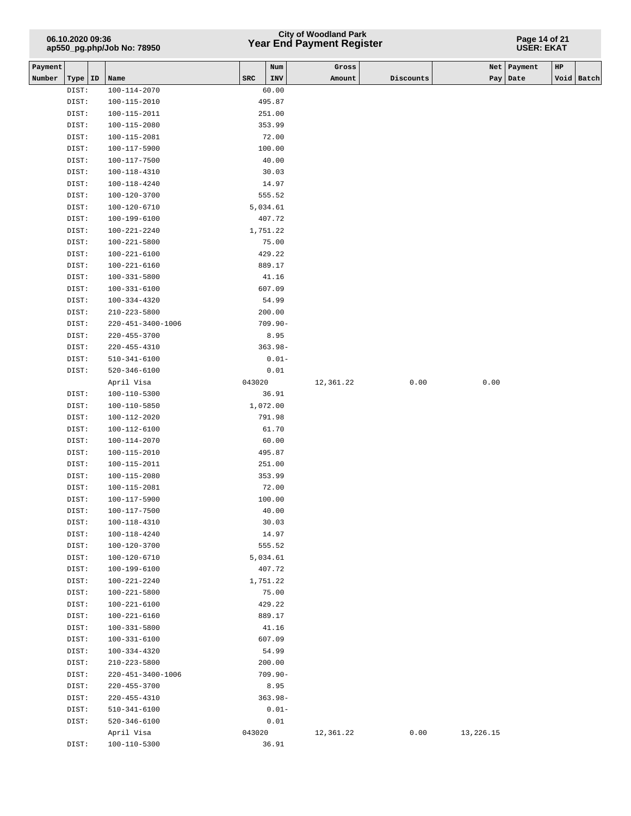## **Year End Payment Register City of Woodland Park 06.10.2020 09:36**

#### **Page 14 of 21 USER: EKAT**

| Payment |       |    |                    |        | Num        | Gross     |           |           | Net   Payment | HP |            |
|---------|-------|----|--------------------|--------|------------|-----------|-----------|-----------|---------------|----|------------|
| Number  | Type  | ID | Name               | SRC    | INV        | Amount    | Discounts |           | Pay   Date    |    | Void Batch |
|         | DIST: |    | 100-114-2070       |        | 60.00      |           |           |           |               |    |            |
|         | DIST: |    | 100-115-2010       |        | 495.87     |           |           |           |               |    |            |
|         | DIST: |    | 100-115-2011       |        | 251.00     |           |           |           |               |    |            |
|         | DIST: |    | $100 - 115 - 2080$ |        | 353.99     |           |           |           |               |    |            |
|         | DIST: |    | 100-115-2081       |        | 72.00      |           |           |           |               |    |            |
|         | DIST: |    | 100-117-5900       |        | 100.00     |           |           |           |               |    |            |
|         | DIST: |    | 100-117-7500       |        | 40.00      |           |           |           |               |    |            |
|         | DIST: |    | 100-118-4310       |        | 30.03      |           |           |           |               |    |            |
|         | DIST: |    | 100-118-4240       |        | 14.97      |           |           |           |               |    |            |
|         | DIST: |    | 100-120-3700       |        | 555.52     |           |           |           |               |    |            |
|         | DIST: |    | 100-120-6710       |        | 5,034.61   |           |           |           |               |    |            |
|         | DIST: |    | 100-199-6100       |        | 407.72     |           |           |           |               |    |            |
|         | DIST: |    | 100-221-2240       |        | 1,751.22   |           |           |           |               |    |            |
|         | DIST: |    | 100-221-5800       |        | 75.00      |           |           |           |               |    |            |
|         | DIST: |    | 100-221-6100       |        | 429.22     |           |           |           |               |    |            |
|         | DIST: |    | $100 - 221 - 6160$ |        | 889.17     |           |           |           |               |    |            |
|         | DIST: |    | 100-331-5800       |        | 41.16      |           |           |           |               |    |            |
|         | DIST: |    | $100 - 331 - 6100$ |        | 607.09     |           |           |           |               |    |            |
|         | DIST: |    | 100-334-4320       |        | 54.99      |           |           |           |               |    |            |
|         | DIST: |    | $210 - 223 - 5800$ |        | 200.00     |           |           |           |               |    |            |
|         | DIST: |    | 220-451-3400-1006  |        | $709.90 -$ |           |           |           |               |    |            |
|         | DIST: |    | $220 - 455 - 3700$ |        | 8.95       |           |           |           |               |    |            |
|         | DIST: |    | $220 - 455 - 4310$ |        | $363.98 -$ |           |           |           |               |    |            |
|         | DIST: |    | $510 - 341 - 6100$ |        | $0.01 -$   |           |           |           |               |    |            |
|         | DIST: |    | $520 - 346 - 6100$ |        | 0.01       |           |           |           |               |    |            |
|         |       |    | April Visa         | 043020 |            | 12,361.22 | 0.00      | 0.00      |               |    |            |
|         | DIST: |    | 100-110-5300       |        | 36.91      |           |           |           |               |    |            |
|         | DIST: |    | 100-110-5850       |        | 1,072.00   |           |           |           |               |    |            |
|         | DIST: |    | 100-112-2020       |        | 791.98     |           |           |           |               |    |            |
|         | DIST: |    | 100-112-6100       |        | 61.70      |           |           |           |               |    |            |
|         | DIST: |    | 100-114-2070       |        | 60.00      |           |           |           |               |    |            |
|         | DIST: |    | 100-115-2010       |        | 495.87     |           |           |           |               |    |            |
|         |       |    |                    |        |            |           |           |           |               |    |            |
|         | DIST: |    | 100-115-2011       |        | 251.00     |           |           |           |               |    |            |
|         | DIST: |    | 100-115-2080       |        | 353.99     |           |           |           |               |    |            |
|         | DIST: |    | 100-115-2081       |        | 72.00      |           |           |           |               |    |            |
|         | DIST: |    | 100-117-5900       |        | 100.00     |           |           |           |               |    |            |
|         | DIST: |    | 100-117-7500       |        | 40.00      |           |           |           |               |    |            |
|         | DIST: |    | 100-118-4310       |        | 30.03      |           |           |           |               |    |            |
|         | DIST: |    | 100-118-4240       |        | 14.97      |           |           |           |               |    |            |
|         | DIST: |    | 100-120-3700       |        | 555.52     |           |           |           |               |    |            |
|         | DIST: |    | 100-120-6710       |        | 5,034.61   |           |           |           |               |    |            |
|         | DIST: |    | 100-199-6100       |        | 407.72     |           |           |           |               |    |            |
|         | DIST: |    | 100-221-2240       |        | 1,751.22   |           |           |           |               |    |            |
|         | DIST: |    | 100-221-5800       |        | 75.00      |           |           |           |               |    |            |
|         | DIST: |    | 100-221-6100       |        | 429.22     |           |           |           |               |    |            |
|         | DIST: |    | 100-221-6160       |        | 889.17     |           |           |           |               |    |            |
|         | DIST: |    | 100-331-5800       |        | 41.16      |           |           |           |               |    |            |
|         | DIST: |    | 100-331-6100       |        | 607.09     |           |           |           |               |    |            |
|         | DIST: |    | 100-334-4320       |        | 54.99      |           |           |           |               |    |            |
|         | DIST: |    | 210-223-5800       |        | 200.00     |           |           |           |               |    |            |
|         | DIST: |    | 220-451-3400-1006  |        | $709.90 -$ |           |           |           |               |    |            |
|         | DIST: |    | $220 - 455 - 3700$ |        | 8.95       |           |           |           |               |    |            |
|         | DIST: |    | 220-455-4310       |        | $363.98 -$ |           |           |           |               |    |            |
|         | DIST: |    | $510 - 341 - 6100$ |        | $0.01 -$   |           |           |           |               |    |            |
|         | DIST: |    | $520 - 346 - 6100$ |        | 0.01       |           |           |           |               |    |            |
|         |       |    | April Visa         | 043020 |            | 12,361.22 | 0.00      | 13,226.15 |               |    |            |
|         | DIST: |    | 100-110-5300       |        | 36.91      |           |           |           |               |    |            |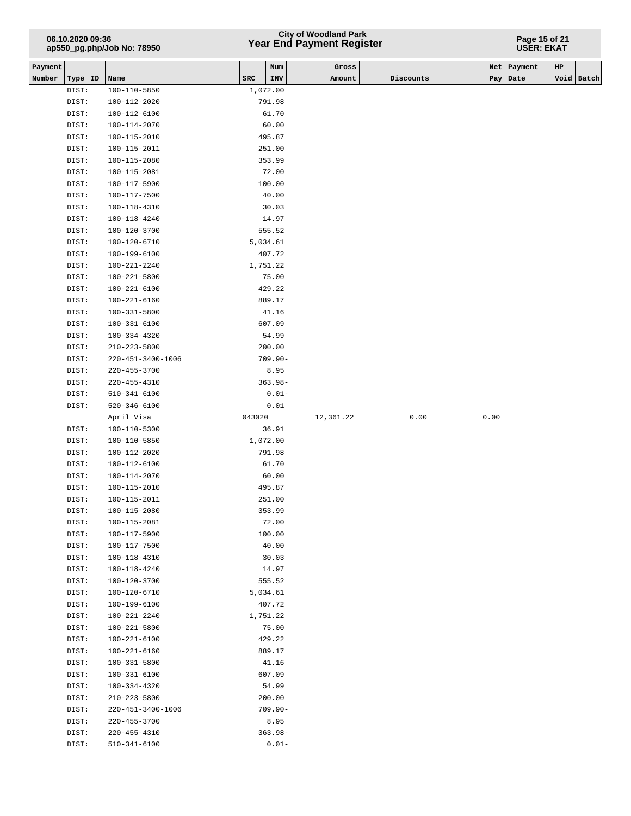## **Year End Payment Register City of Woodland Park 06.10.2020 09:36**

#### **Page 15 of 21 USER: EKAT**

| Payment |                |                              |        | Num                | Gross     |           |      | Net   Payment | HP |            |
|---------|----------------|------------------------------|--------|--------------------|-----------|-----------|------|---------------|----|------------|
| Number  | Type   ID      | Name                         | SRC    | INV                | Amount    | Discounts |      | Pay   Date    |    | Void Batch |
|         | DIST:          | 100-110-5850                 |        | 1,072.00           |           |           |      |               |    |            |
|         | DIST:          | 100-112-2020                 |        | 791.98             |           |           |      |               |    |            |
|         | DIST:          | 100-112-6100                 |        | 61.70              |           |           |      |               |    |            |
|         | DIST:          | 100-114-2070                 |        | 60.00              |           |           |      |               |    |            |
|         | DIST:          | 100-115-2010                 |        | 495.87             |           |           |      |               |    |            |
|         | DIST:          | 100-115-2011                 |        | 251.00             |           |           |      |               |    |            |
|         | DIST:          | 100-115-2080                 |        | 353.99             |           |           |      |               |    |            |
|         | DIST:          | 100-115-2081                 |        | 72.00              |           |           |      |               |    |            |
|         | DIST:          | 100-117-5900                 |        | 100.00             |           |           |      |               |    |            |
|         | DIST:          | 100-117-7500                 |        | 40.00              |           |           |      |               |    |            |
|         | DIST:          | 100-118-4310                 |        | 30.03              |           |           |      |               |    |            |
|         | DIST:          | 100-118-4240                 |        | 14.97              |           |           |      |               |    |            |
|         | DIST:          | 100-120-3700                 |        | 555.52             |           |           |      |               |    |            |
|         | DIST:          | 100-120-6710                 |        | 5,034.61           |           |           |      |               |    |            |
|         | DIST:          | 100-199-6100                 |        | 407.72             |           |           |      |               |    |            |
|         | DIST:          | 100-221-2240                 |        | 1,751.22           |           |           |      |               |    |            |
|         | DIST:          | $100 - 221 - 5800$           |        | 75.00              |           |           |      |               |    |            |
|         | DIST:          | 100-221-6100                 |        | 429.22             |           |           |      |               |    |            |
|         | DIST:          | 100-221-6160                 |        | 889.17             |           |           |      |               |    |            |
|         | DIST:          | 100-331-5800                 |        | 41.16              |           |           |      |               |    |            |
|         | DIST:          | 100-331-6100                 |        | 607.09             |           |           |      |               |    |            |
|         | DIST:          | 100-334-4320                 |        | 54.99              |           |           |      |               |    |            |
|         | DIST:          | 210-223-5800                 |        | 200.00             |           |           |      |               |    |            |
|         | DIST:          | 220-451-3400-1006            |        | $709.90 -$         |           |           |      |               |    |            |
|         | DIST:<br>DIST: | 220-455-3700                 |        | 8.95<br>$363.98 -$ |           |           |      |               |    |            |
|         | DIST:          | 220-455-4310<br>510-341-6100 |        | $0.01 -$           |           |           |      |               |    |            |
|         | DIST:          | 520-346-6100                 |        | 0.01               |           |           |      |               |    |            |
|         |                | April Visa                   | 043020 |                    | 12,361.22 | 0.00      | 0.00 |               |    |            |
|         | DIST:          | 100-110-5300                 |        | 36.91              |           |           |      |               |    |            |
|         | DIST:          | 100-110-5850                 |        | 1,072.00           |           |           |      |               |    |            |
|         | DIST:          | 100-112-2020                 |        | 791.98             |           |           |      |               |    |            |
|         | DIST:          | 100-112-6100                 |        | 61.70              |           |           |      |               |    |            |
|         | DIST:          | 100-114-2070                 |        | 60.00              |           |           |      |               |    |            |
|         | DIST:          | 100-115-2010                 |        | 495.87             |           |           |      |               |    |            |
|         | DIST:          | 100-115-2011                 |        | 251.00             |           |           |      |               |    |            |
|         | DIST:          | 100-115-2080                 |        | 353.99             |           |           |      |               |    |            |
|         | DIST:          | 100-115-2081                 |        | 72.00              |           |           |      |               |    |            |
|         | DIST:          | 100-117-5900                 |        | 100.00             |           |           |      |               |    |            |
|         | DIST:          | $100 - 117 - 7500$           |        | 40.00              |           |           |      |               |    |            |
|         | DIST:          | 100-118-4310                 |        | 30.03              |           |           |      |               |    |            |
|         | DIST:          | 100-118-4240                 |        | 14.97              |           |           |      |               |    |            |
|         | DIST:          | 100-120-3700                 |        | 555.52             |           |           |      |               |    |            |
|         | DIST:          | 100-120-6710                 |        | 5,034.61           |           |           |      |               |    |            |
|         | DIST:          | 100-199-6100                 |        | 407.72             |           |           |      |               |    |            |
|         | DIST:          | $100 - 221 - 2240$           |        | 1,751.22           |           |           |      |               |    |            |
|         | DIST:          | 100-221-5800                 |        | 75.00              |           |           |      |               |    |            |
|         | DIST:          | 100-221-6100                 |        | 429.22             |           |           |      |               |    |            |
|         | DIST:          | 100-221-6160                 |        | 889.17             |           |           |      |               |    |            |
|         | DIST:          | 100-331-5800                 |        | 41.16              |           |           |      |               |    |            |
|         | DIST:          | 100-331-6100                 |        | 607.09             |           |           |      |               |    |            |
|         | DIST:<br>DIST: | 100-334-4320<br>210-223-5800 |        | 54.99<br>200.00    |           |           |      |               |    |            |
|         | DIST:          | 220-451-3400-1006            |        | $709.90 -$         |           |           |      |               |    |            |
|         | DIST:          | 220-455-3700                 |        | 8.95               |           |           |      |               |    |            |
|         | DIST:          | 220-455-4310                 |        | $363.98 -$         |           |           |      |               |    |            |
|         | DIST:          | $510 - 341 - 6100$           |        | $0.01 -$           |           |           |      |               |    |            |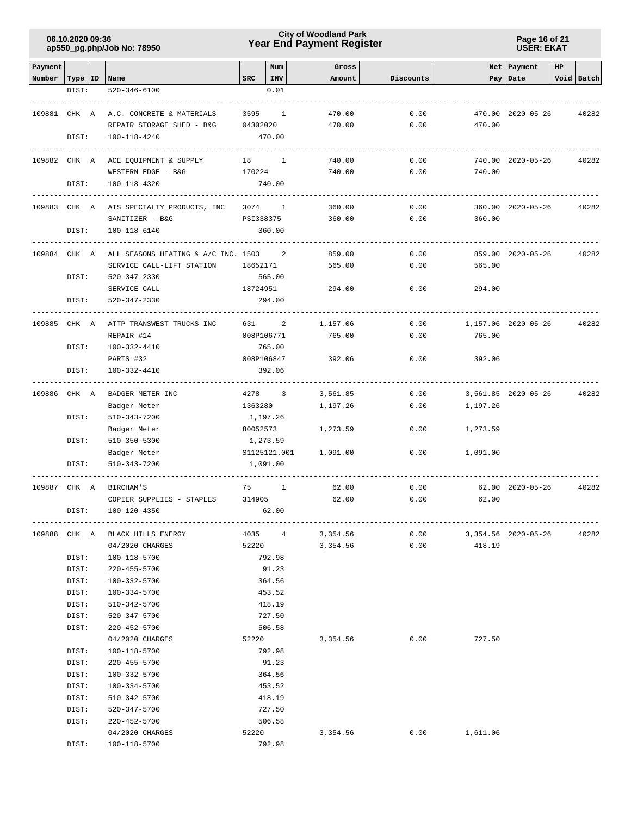**Page 16 of 21 USER: EKAT**

| Payment                   |       |                                                                    |            | Num          | Gross            |              |                            | Net Payment         | HP |            |
|---------------------------|-------|--------------------------------------------------------------------|------------|--------------|------------------|--------------|----------------------------|---------------------|----|------------|
| Number   Type   ID   Name |       |                                                                    | <b>SRC</b> | INV          | Amount           | Discounts    |                            | Pay Date            |    | Void Batch |
|                           | DIST: | $520 - 346 - 6100$                                                 |            | 0.01         |                  |              |                            |                     |    |            |
|                           |       |                                                                    |            |              |                  |              |                            |                     |    |            |
| 109881 CHK A              |       | A.C. CONCRETE & MATERIALS                                          |            | 3595 1       | 470.00           | 0.00         |                            | 470.00 2020-05-26   |    | 40282      |
|                           |       | REPAIR STORAGE SHED - B&G                                          | 04302020   |              | 470.00           | 0.00         | 470.00                     |                     |    |            |
|                           | DIST: | 100-118-4240                                                       |            | 470.00       |                  |              |                            |                     |    |            |
|                           |       |                                                                    |            |              |                  |              |                            |                     |    |            |
| 109882 CHK A              |       | ACE EQUIPMENT & SUPPLY                                             |            | 18 1         | 740.00           | 0.00         |                            | 740.00 2020-05-26   |    | 40282      |
|                           |       | WESTERN EDGE - B&G                                                 | 170224     |              | 740.00           | 0.00         | 740.00                     |                     |    |            |
|                           | DIST: | 100-118-4320                                                       |            | 740.00       |                  |              |                            |                     |    |            |
|                           |       |                                                                    |            |              |                  |              |                            |                     |    |            |
| 109883 CHK A              |       | AIS SPECIALTY PRODUCTS, INC                                        |            | 3074 1       | 360.00           | 0.00         |                            | 360.00 2020-05-26   |    | 40282      |
|                           |       | SANITIZER - B&G                                                    |            | PSI338375    | 360.00           | 0.00         | 360.00                     |                     |    |            |
|                           | DIST: | 100-118-6140                                                       |            | 360.00       |                  |              |                            |                     |    |            |
|                           |       |                                                                    |            |              |                  |              |                            |                     |    |            |
| 109884 CHK A              |       | ALL SEASONS HEATING & A/C INC. 1503 2<br>SERVICE CALL-LIFT STATION |            |              | 859.00<br>565.00 | 0.00<br>0.00 | 565.00                     | 859.00 2020-05-26   |    | 40282      |
|                           | DIST: | 520-347-2330                                                       | 18652171   | 565.00       |                  |              |                            |                     |    |            |
|                           |       | SERVICE CALL                                                       | 18724951   |              | 294.00           | 0.00         | 294.00                     |                     |    |            |
|                           | DIST: | 520-347-2330                                                       |            | 294.00       |                  |              |                            |                     |    |            |
|                           |       |                                                                    |            |              |                  |              |                            |                     |    |            |
| 109885 CHK A              |       | ATTP TRANSWEST TRUCKS INC                                          |            | 631 2        | 1,157.06         | 0.00         |                            | 1,157.06 2020-05-26 |    | 40282      |
|                           |       | REPAIR #14                                                         |            | 008P106771   | 765.00           | 0.00         | 765.00                     |                     |    |            |
|                           | DIST: | 100-332-4410                                                       |            | 765.00       |                  |              |                            |                     |    |            |
|                           |       | PARTS #32                                                          |            | 008P106847   | 392.06           | 0.00         | 392.06                     |                     |    |            |
|                           | DIST: | 100-332-4410                                                       |            | 392.06       |                  |              |                            |                     |    |            |
|                           |       |                                                                    |            |              |                  |              |                            |                     |    |            |
| 109886 CHK A              |       | BADGER METER INC                                                   |            | 4278 3       | 3,561.85         | 0.00         |                            | 3,561.85 2020-05-26 |    | 40282      |
|                           |       | Badger Meter                                                       | 1363280    |              | 1,197.26         | 0.00         | 1,197.26                   |                     |    |            |
|                           | DIST: | 510-343-7200                                                       | 1,197.26   |              |                  |              |                            |                     |    |            |
|                           |       | Badger Meter                                                       |            | 80052573     | 1,273.59         | 0.00         | 1,273.59                   |                     |    |            |
|                           | DIST: | 510-350-5300                                                       | 1,273.59   |              |                  |              |                            |                     |    |            |
|                           |       | Badger Meter                                                       |            | S1125121.001 | 1,091.00         | 0.00         | 1,091.00                   |                     |    |            |
|                           | DIST: | 510-343-7200                                                       |            | 1,091.00     |                  |              |                            |                     |    |            |
|                           |       |                                                                    |            |              |                  |              |                            |                     |    |            |
| 109887 CHK A              |       | BIRCHAM'S                                                          |            | 75 1         | 62.00            | 0.00         |                            | 62.00 2020-05-26    |    | 40282      |
|                           |       | COPIER SUPPLIES - STAPLES                                          | 314905     |              | 62.00            | 0.00         | 62.00                      |                     |    |            |
|                           | DIST: | 100-120-4350                                                       |            | 62.00        |                  |              |                            |                     |    |            |
|                           |       | 109888 CHK A BLACK HILLS ENERGY                                    |            | 4035 4       | 3, 354.56        |              | $0.00$ 3,354.56 2020-05-26 |                     |    | 40282      |
|                           |       | 04/2020 CHARGES                                                    |            | 52220        | 3,354.56         |              | $0.00$ 418.19              |                     |    |            |
|                           | DIST: | 100-118-5700                                                       |            | 792.98       |                  |              |                            |                     |    |            |
|                           | DIST: | 220-455-5700                                                       |            | 91.23        |                  |              |                            |                     |    |            |
|                           | DIST: | 100-332-5700                                                       |            | 364.56       |                  |              |                            |                     |    |            |
|                           | DIST: | 100-334-5700                                                       |            | 453.52       |                  |              |                            |                     |    |            |
|                           | DIST: | 510-342-5700                                                       |            | 418.19       |                  |              |                            |                     |    |            |
|                           | DIST: | 520-347-5700                                                       |            | 727.50       |                  |              |                            |                     |    |            |
|                           | DIST: | $220 - 452 - 5700$                                                 |            | 506.58       |                  |              |                            |                     |    |            |
|                           |       | 04/2020 CHARGES                                                    |            | 52220        | 3,354.56         | 0.00         | 727.50                     |                     |    |            |
|                           | DIST: | 100-118-5700                                                       |            | 792.98       |                  |              |                            |                     |    |            |
|                           | DIST: | 220-455-5700                                                       |            | 91.23        |                  |              |                            |                     |    |            |
|                           | DIST: | 100-332-5700                                                       |            | 364.56       |                  |              |                            |                     |    |            |
|                           | DIST: | 100-334-5700                                                       |            | 453.52       |                  |              |                            |                     |    |            |
|                           | DIST: | 510-342-5700                                                       |            | 418.19       |                  |              |                            |                     |    |            |
|                           | DIST: | 520-347-5700                                                       |            | 727.50       |                  |              |                            |                     |    |            |
|                           | DIST: | 220-452-5700                                                       |            | 506.58       |                  |              |                            |                     |    |            |
|                           |       | 04/2020 CHARGES                                                    |            | 52220        | 3,354.56         | 0.00         | 1,611.06                   |                     |    |            |
|                           | DIST: | 100-118-5700                                                       |            | 792.98       |                  |              |                            |                     |    |            |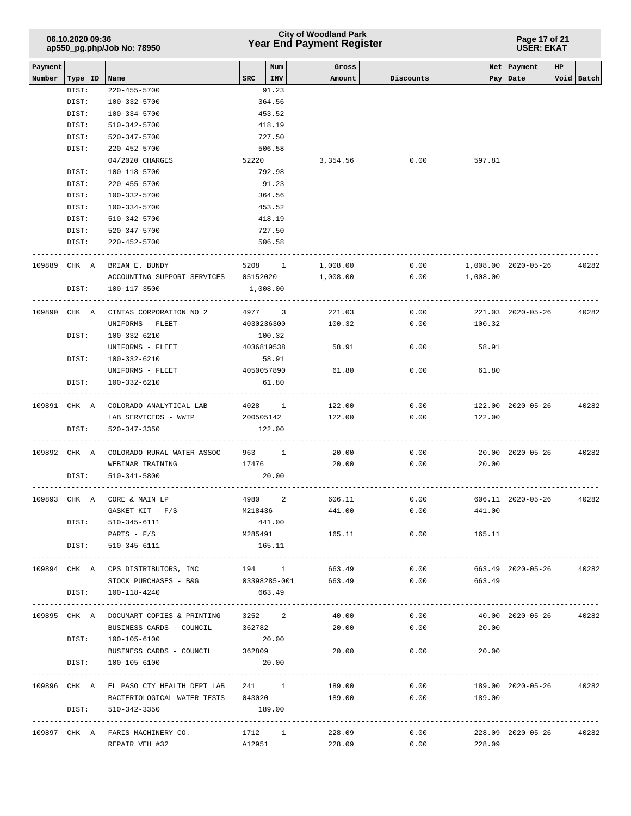|                   | 06.10.2020 09:36<br>ap550_pg.php/Job No: 78950<br>Type   ID   Name |  |                                                       |            | <b>City of Woodland Park</b><br><b>Year End Payment Register</b> |                 |           | Page 17 of 21<br><b>USER: EKAT</b>     |                             |    |            |
|-------------------|--------------------------------------------------------------------|--|-------------------------------------------------------|------------|------------------------------------------------------------------|-----------------|-----------|----------------------------------------|-----------------------------|----|------------|
| Payment<br>Number |                                                                    |  |                                                       | SRC        | Num<br>INV                                                       | Gross<br>Amount | Discounts |                                        | Net   Payment<br>Pay   Date | HP | Void Batch |
|                   | DIST:                                                              |  | $220 - 455 - 5700$                                    |            | 91.23                                                            |                 |           |                                        |                             |    |            |
|                   | DIST:                                                              |  | 100-332-5700                                          |            | 364.56                                                           |                 |           |                                        |                             |    |            |
|                   | DIST:                                                              |  | 100-334-5700                                          |            | 453.52                                                           |                 |           |                                        |                             |    |            |
|                   | DIST:                                                              |  | 510-342-5700                                          |            | 418.19                                                           |                 |           |                                        |                             |    |            |
|                   | DIST:                                                              |  | 520-347-5700                                          |            | 727.50                                                           |                 |           |                                        |                             |    |            |
|                   | DIST:                                                              |  | 220-452-5700                                          |            | 506.58                                                           |                 |           |                                        |                             |    |            |
|                   |                                                                    |  | 04/2020 CHARGES                                       | 52220      |                                                                  | 3,354.56        | 0.00      | 597.81                                 |                             |    |            |
|                   | DIST:                                                              |  | 100-118-5700                                          |            | 792.98                                                           |                 |           |                                        |                             |    |            |
|                   | DIST:                                                              |  | 220-455-5700                                          |            | 91.23                                                            |                 |           |                                        |                             |    |            |
|                   | DIST:                                                              |  | 100-332-5700                                          |            | 364.56                                                           |                 |           |                                        |                             |    |            |
|                   | DIST:                                                              |  | 100-334-5700                                          |            | 453.52                                                           |                 |           |                                        |                             |    |            |
|                   | DIST:                                                              |  | 510-342-5700                                          |            | 418.19                                                           |                 |           |                                        |                             |    |            |
|                   | DIST:                                                              |  | 520-347-5700                                          |            | 727.50                                                           |                 |           |                                        |                             |    |            |
|                   | DIST:                                                              |  | 220-452-5700                                          |            | 506.58                                                           |                 |           |                                        |                             |    |            |
| 109889 CHK A      |                                                                    |  | BRIAN E. BUNDY                                        |            | 5208 1                                                           | 1,008.00        | 0.00      |                                        | 1,008.00 2020-05-26         |    | 40282      |
|                   |                                                                    |  | ACCOUNTING SUPPORT SERVICES 05152020                  |            |                                                                  | 1,008.00        | 0.00      | 1,008.00                               |                             |    |            |
|                   | DIST:                                                              |  | 100-117-3500                                          | 1,008.00   |                                                                  |                 |           |                                        |                             |    |            |
| 109890 CHK A      |                                                                    |  | CINTAS CORPORATION NO 2                               |            | 4977 3                                                           | 221.03          | 0.00      |                                        | 221.03 2020-05-26           |    | 40282      |
|                   |                                                                    |  | UNIFORMS - FLEET                                      | 4030236300 |                                                                  | 100.32          | 0.00      | 100.32                                 |                             |    |            |
|                   | DIST:                                                              |  | 100-332-6210                                          |            | 100.32                                                           |                 |           |                                        |                             |    |            |
|                   |                                                                    |  | UNIFORMS - FLEET                                      | 4036819538 |                                                                  | 58.91           | 0.00      | 58.91                                  |                             |    |            |
|                   | DIST:                                                              |  | 100-332-6210                                          |            | 58.91                                                            |                 |           |                                        |                             |    |            |
|                   |                                                                    |  | UNIFORMS - FLEET                                      | 4050057890 |                                                                  | 61.80           | 0.00      | 61.80                                  |                             |    |            |
|                   | DIST:                                                              |  | 100-332-6210                                          |            | 61.80                                                            |                 |           |                                        |                             |    |            |
|                   |                                                                    |  | 109891 CHK A COLORADO ANALYTICAL LAB                  |            | 4028 1                                                           | 122.00          | 0.00      |                                        | 122.00 2020-05-26           |    | 40282      |
|                   |                                                                    |  | LAB SERVICEDS - WWTP                                  | 200505142  |                                                                  | 122.00          | 0.00      | 122.00                                 |                             |    |            |
|                   | DIST:                                                              |  | 520-347-3350                                          |            | 122.00                                                           |                 |           |                                        |                             |    |            |
| 109892 CHK A      |                                                                    |  | COLORADO RURAL WATER ASSOC 963 1                      |            |                                                                  | 20.00           | 0.00      |                                        | 20.00 2020-05-26            |    | 40282      |
|                   |                                                                    |  | WEBINAR TRAINING                                      | 17476      |                                                                  | 20.00           | 0.00      | 20.00                                  |                             |    |            |
|                   | DIST:                                                              |  | 510-341-5800                                          |            | 20.00                                                            |                 |           |                                        |                             |    |            |
|                   |                                                                    |  | 109893 CHK A CORE & MAIN LP                           |            | 4980 2                                                           | 606.11          | 0.00      |                                        | 606.11 2020-05-26           |    | 40282      |
|                   |                                                                    |  | GASKET KIT - F/S                                      | M218436    |                                                                  | 441.00          | 0.00      | 441.00                                 |                             |    |            |
|                   |                                                                    |  | DIST: 510-345-6111                                    |            | 441.00                                                           |                 |           |                                        |                             |    |            |
|                   |                                                                    |  | PARTS - F/S                                           |            | M285491                                                          | 165.11          | 0.00      | 165.11                                 |                             |    |            |
|                   | DIST:                                                              |  | 510-345-6111                                          |            | 165.11                                                           |                 |           |                                        |                             |    |            |
|                   |                                                                    |  | 109894 CHK A CPS DISTRIBUTORS, INC                    |            |                                                                  | 194 1 663.49    | 0.00      |                                        | 663.49 2020-05-26           |    | 40282      |
|                   |                                                                    |  | STOCK PURCHASES - B&G 03398285-001 663.49             |            |                                                                  |                 |           | $0.00$ 663.49                          |                             |    |            |
|                   |                                                                    |  | DIST: 100-118-4240                                    |            | 663.49                                                           |                 |           |                                        |                             |    |            |
|                   |                                                                    |  | 109895 CHK A DOCUMART COPIES & PRINTING 3252 2        |            |                                                                  | 40.00           | 0.00      |                                        | 40.00 2020-05-26 40282      |    |            |
|                   |                                                                    |  | BUSINESS CARDS - COUNCIL                              | 362782     |                                                                  | 20.00           | 0.00      | 20.00                                  |                             |    |            |
|                   |                                                                    |  | DIST: 100-105-6100                                    |            | 20.00                                                            |                 |           |                                        |                             |    |            |
|                   |                                                                    |  | BUSINESS CARDS - COUNCIL 362809                       |            |                                                                  | 20.00           | 0.00      | 20.00                                  |                             |    |            |
|                   | DIST:                                                              |  | 100-105-6100                                          |            | 20.00                                                            |                 |           |                                        |                             |    |            |
|                   |                                                                    |  | 109896 CHK A EL PASO CTY HEALTH DEPT LAB 241 1 189.00 |            |                                                                  |                 | 0.00      |                                        | 189.00 2020-05-26 40282     |    |            |
|                   |                                                                    |  | BACTERIOLOGICAL WATER TESTS 043020                    |            |                                                                  | 189.00          | 0.00      | 189.00                                 |                             |    |            |
|                   | DIST:                                                              |  | 510-342-3350                                          |            | 189.00                                                           |                 |           | -------------------------------------- |                             |    |            |
|                   |                                                                    |  | 109897 CHK A FARIS MACHINERY CO.                      |            | 1712 1                                                           | 228.09          | 0.00      |                                        | 228.09 2020-05-26 40282     |    |            |
|                   |                                                                    |  | REPAIR VEH #32                                        |            | A12951                                                           | 228.09          |           | $0.00$ 228.09                          |                             |    |            |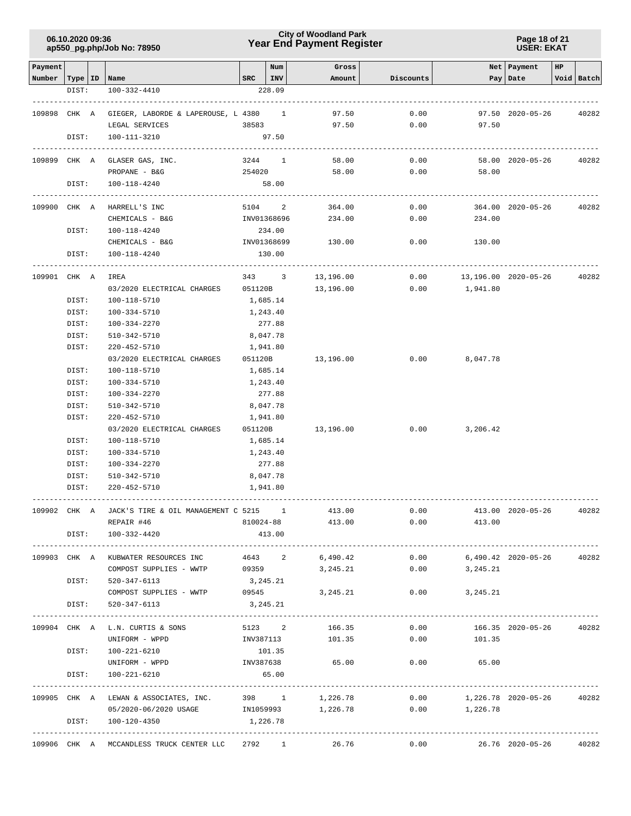**Page 18 of 21 USER: EKAT**

| Payment                   |       |                                                 |             | Num         | Gross             |                    |                            | Net   Payment     | HP |            |
|---------------------------|-------|-------------------------------------------------|-------------|-------------|-------------------|--------------------|----------------------------|-------------------|----|------------|
| Number   Type   ID   Name |       |                                                 |             | $SRC$   INV | Amount            | Discounts          |                            | Pay Date          |    | Void Batch |
|                           | DIST: | 100-332-4410                                    |             | 228.09      |                   |                    |                            |                   |    |            |
|                           |       |                                                 |             |             |                   |                    |                            |                   |    |            |
| 109898 CHK A              |       | GIEGER, LABORDE & LAPEROUSE, L 4380 1           |             |             | 97.50             | 0.00               |                            | 97.50 2020-05-26  |    | 40282      |
|                           |       | LEGAL SERVICES                                  | 38583       |             | 97.50             | 0.00               | 97.50                      |                   |    |            |
|                           | DIST: | 100-111-3210                                    |             | 97.50       |                   |                    |                            |                   |    |            |
|                           |       |                                                 |             |             |                   |                    |                            |                   |    |            |
|                           |       | 109899 CHK A GLASER GAS, INC.                   | 3244 1      |             | 58.00             | 0.00               |                            | 58.00 2020-05-26  |    | 40282      |
|                           |       | PROPANE - B&G                                   | 254020      |             | 58.00             | 0.00               | 58.00                      |                   |    |            |
|                           | DIST: | 100-118-4240                                    |             | 58.00       |                   |                    |                            |                   |    |            |
|                           |       |                                                 |             |             |                   |                    |                            |                   |    |            |
| 109900 CHK A              |       | HARRELL'S INC                                   |             | 5104 2      | 364.00            | 0.00               |                            | 364.00 2020-05-26 |    | 40282      |
|                           |       | CHEMICALS - B&G                                 | INV01368696 |             | 234.00            | 0.00               | 234.00                     |                   |    |            |
|                           | DIST: | 100-118-4240                                    |             | 234.00      |                   |                    |                            |                   |    |            |
|                           | DIST: | CHEMICALS - B&G                                 | INV01368699 |             | 130.00            | 0.00               | 130.00                     |                   |    |            |
|                           |       | 100-118-4240                                    |             | 130.00      | ----------------- |                    |                            |                   |    |            |
| 109901 CHK A              |       | IREA                                            |             | 343 3       | 13,196.00         | 0.00               | 13,196.00 2020-05-26       |                   |    | 40282      |
|                           |       | 03/2020 ELECTRICAL CHARGES                      | 051120B     |             | 13,196.00         |                    | $0.00$ 1,941.80            |                   |    |            |
|                           | DIST: | 100-118-5710                                    | 1,685.14    |             |                   |                    |                            |                   |    |            |
|                           | DIST: | 100-334-5710                                    | 1,243.40    |             |                   |                    |                            |                   |    |            |
|                           | DIST: | 100-334-2270                                    |             | 277.88      |                   |                    |                            |                   |    |            |
|                           | DIST: | 510-342-5710                                    |             | 8,047.78    |                   |                    |                            |                   |    |            |
|                           | DIST: | 220-452-5710                                    | 1,941.80    |             |                   |                    |                            |                   |    |            |
|                           |       | 03/2020 ELECTRICAL CHARGES                      | 051120B     |             | 13,196.00         | 0.00               | 8,047.78                   |                   |    |            |
|                           | DIST: | 100-118-5710                                    | 1,685.14    |             |                   |                    |                            |                   |    |            |
|                           | DIST: | 100-334-5710                                    |             | 1,243.40    |                   |                    |                            |                   |    |            |
|                           | DIST: | 100-334-2270                                    |             | 277.88      |                   |                    |                            |                   |    |            |
|                           | DIST: | 510-342-5710                                    |             | 8,047.78    |                   |                    |                            |                   |    |            |
|                           | DIST: | 220-452-5710                                    | 1,941.80    |             |                   |                    |                            |                   |    |            |
|                           |       | 03/2020 ELECTRICAL CHARGES                      | 051120B     |             | 13,196.00         | 0.00               | 3,206.42                   |                   |    |            |
|                           | DIST: | 100-118-5710                                    |             | 1,685.14    |                   |                    |                            |                   |    |            |
|                           | DIST: | 100-334-5710                                    |             | 1,243.40    |                   |                    |                            |                   |    |            |
|                           | DIST: | 100-334-2270                                    |             | 277.88      |                   |                    |                            |                   |    |            |
|                           | DIST: | 510-342-5710                                    |             | 8,047.78    |                   |                    |                            |                   |    |            |
|                           | DIST: | 220-452-5710                                    |             | 1,941.80    |                   |                    |                            |                   |    |            |
|                           |       |                                                 |             |             |                   |                    |                            |                   |    |            |
| 109902 CHK A              |       | JACK'S TIRE & OIL MANAGEMENT C 5215 1 413.00    |             |             |                   | 0.00               |                            | 413.00 2020-05-26 |    | 40282      |
|                           |       | REPAIR #46                                      | 810024-88   |             | 413.00            | 0.00               | 413.00                     |                   |    |            |
|                           | DIST: | 100-332-4420                                    |             | 413.00      |                   |                    |                            |                   |    |            |
|                           |       | 109903 CHK A KUBWATER RESOURCES INC             | 4643 2      |             | 6,490.42          | 0.00               | 6,490.42 2020-05-26        |                   |    | 40282      |
|                           |       | COMPOST SUPPLIES - WWTP                         | 09359       |             | 3,245.21          | 0.00               | 3,245.21                   |                   |    |            |
|                           | DIST: | 520-347-6113                                    | 3,245.21    |             |                   |                    |                            |                   |    |            |
|                           |       | COMPOST SUPPLIES - WWTP 09545                   |             |             | 3,245.21          |                    | $0.00$ 3, 245.21           |                   |    |            |
|                           | DIST: | 520-347-6113                                    | 3,245.21    |             |                   |                    |                            |                   |    |            |
|                           |       |                                                 |             |             |                   | ------------------ |                            |                   |    |            |
|                           |       | 109904 CHK A L.N. CURTIS & SONS                 |             |             | 5123 2<br>166.35  | 0.00               |                            | 166.35 2020-05-26 |    | 40282      |
|                           |       | UNIFORM - WPPD                                  | INV387113   |             | 101.35            | 0.00               | 101.35                     |                   |    |            |
|                           | DIST: | 100-221-6210                                    |             | 101.35      |                   |                    |                            |                   |    |            |
|                           |       | UNIFORM - WPPD                                  | INV387638   |             | 65.00             | 0.00               | 65.00                      |                   |    |            |
|                           | DIST: | 100-221-6210                                    |             | 65.00       |                   |                    |                            |                   |    |            |
|                           |       |                                                 |             |             |                   |                    |                            |                   |    |            |
|                           |       | 109905 CHK A LEWAN & ASSOCIATES, INC. 398 1     |             |             | 1,226.78          |                    | $0.00$ 1,226.78 2020-05-26 |                   |    | 40282      |
|                           |       | 05/2020-06/2020 USAGE 1N1059993 1,226.78        |             |             |                   |                    | $0.00$ 1,226.78            |                   |    |            |
|                           | DIST: | 100-120-4350                                    | 1,226.78    |             |                   |                    |                            |                   |    |            |
|                           |       |                                                 |             |             |                   |                    |                            |                   |    |            |
|                           |       | 109906 CHK A MCCANDLESS TRUCK CENTER LLC 2792 1 |             |             | 26.76             | 0.00               |                            | 26.76 2020-05-26  |    | 40282      |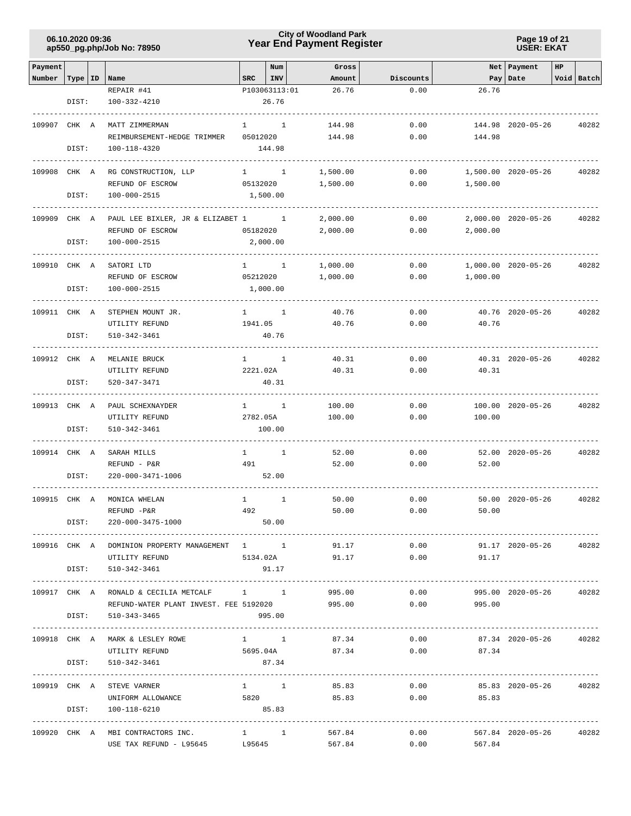### **Year End Payment Register City of Woodland Park 06.10.2020 09:36**

**Page 19 of 21 USER: EKAT**

| Payment      |           |                                                |              | Num                 | Gross                         |                                    |              | Net   Payment           | <b>HP</b> |            |
|--------------|-----------|------------------------------------------------|--------------|---------------------|-------------------------------|------------------------------------|--------------|-------------------------|-----------|------------|
| Number       | Type   ID | Name                                           | <b>SRC</b>   | INV                 | Amount                        | Discounts                          |              | Pay   Date              |           | Void Batch |
|              |           | REPAIR #41                                     |              | P103063113:01       | 26.76                         | 0.00                               | 26.76        |                         |           |            |
|              | DIST:     | 100-332-4210                                   |              | 26.76               |                               |                                    |              |                         |           |            |
| 109907 CHK A |           | MATT ZIMMERMAN                                 | $\mathbf{1}$ | $\sim$ 1            | 144.98                        | 0.00                               |              | 144.98 2020-05-26       |           | 40282      |
|              |           | REIMBURSEMENT-HEDGE TRIMMER                    | 05012020     |                     | 144.98                        | 0.00                               | 144.98       |                         |           |            |
|              | DIST:     | 100-118-4320                                   |              | 144.98              |                               |                                    |              |                         |           |            |
|              |           |                                                |              |                     |                               |                                    |              |                         |           |            |
| 109908 CHK A |           | RG CONSTRUCTION, LLP                           |              | $1 \quad 1$         | 1,500.00                      | 0.00                               |              | 1,500.00 2020-05-26     |           | 40282      |
|              |           | REFUND OF ESCROW                               | 05132020     |                     | 1,500.00                      | 0.00                               | 1,500.00     |                         |           |            |
|              | DIST:     | $100 - 000 - 2515$                             |              | 1,500.00            |                               |                                    |              |                         |           |            |
|              |           |                                                |              |                     |                               |                                    |              |                         |           |            |
| 109909 CHK A |           | PAUL LEE BIXLER, JR & ELIZABET 1 1             |              |                     | 2,000.00                      | 0.00                               |              | 2,000.00 2020-05-26     |           | 40282      |
|              |           | REFUND OF ESCROW                               | 05182020     |                     | 2,000.00                      | 0.00                               | 2,000.00     |                         |           |            |
|              | DIST:     | 100-000-2515                                   |              | 2,000.00            |                               |                                    |              |                         |           |            |
|              |           |                                                |              |                     |                               |                                    |              |                         |           |            |
| 109910 CHK A |           | SATORI LTD                                     |              | $1 \quad 1$         | 1,000.00                      | 0.00                               |              | 1,000.00 2020-05-26     |           | 40282      |
|              |           | REFUND OF ESCROW                               | 05212020     |                     | 1,000.00                      | 0.00                               | 1,000.00     |                         |           |            |
|              | DIST:     | 100-000-2515                                   |              | 1,000.00            |                               |                                    |              |                         |           |            |
| 109911 CHK A |           | STEPHEN MOUNT JR.                              |              | $1 \qquad \qquad 1$ | 40.76                         | 0.00                               |              | 40.76 2020-05-26        |           | 40282      |
|              |           | UTILITY REFUND                                 | 1941.05      |                     | 40.76                         | 0.00                               | 40.76        |                         |           |            |
|              | DIST:     | 510-342-3461                                   |              | 40.76               |                               |                                    |              |                         |           |            |
|              |           |                                                |              |                     |                               |                                    |              |                         |           |            |
| 109912 CHK A |           | MELANIE BRUCK                                  |              | $1 \quad 1$         | 40.31                         | 0.00                               |              | 40.31 2020-05-26        |           | 40282      |
|              |           | UTILITY REFUND                                 | 2221.02A     |                     | 40.31                         | 0.00                               | 40.31        |                         |           |            |
|              | DIST:     | 520-347-3471                                   |              | 40.31               |                               |                                    |              |                         |           |            |
|              |           |                                                |              |                     |                               |                                    |              |                         |           |            |
| 109913 CHK A |           | PAUL SCHEXNAYDER                               |              | $1 \qquad \qquad 1$ | 100.00                        | 0.00                               |              | 100.00 2020-05-26       |           | 40282      |
|              |           | UTILITY REFUND                                 | 2782.05A     |                     | 100.00                        | 0.00                               | 100.00       |                         |           |            |
|              | DIST:     | 510-342-3461                                   |              | 100.00              |                               |                                    |              |                         |           |            |
|              |           |                                                |              |                     |                               |                                    |              |                         |           |            |
| 109914 CHK A |           | SARAH MILLS                                    | $\mathbf{1}$ | $\mathbf{1}$        | 52.00                         | 0.00                               |              | 52.00 2020-05-26        |           | 40282      |
|              |           | REFUND - P&R                                   | 491          |                     | 52.00                         | 0.00                               | 52.00        |                         |           |            |
|              | DIST:     | 220-000-3471-1006                              |              | 52.00               |                               |                                    |              |                         |           |            |
| 109915 CHK A |           | MONICA WHELAN                                  | $\mathbf{1}$ | $\mathbf{1}$        | 50.00                         | 0.00                               |              | 50.00 2020-05-26        |           | 40282      |
|              |           | REFUND -P&R                                    | 492          |                     | 50.00                         | 0.00                               | 50.00        |                         |           |            |
|              | DIST:     | 220-000-3475-1000                              |              | 50.00               |                               |                                    |              |                         |           |            |
|              |           |                                                |              |                     |                               |                                    |              |                         |           |            |
|              |           | 109916 CHK A DOMINION PROPERTY MANAGEMENT 1 1  |              |                     |                               | 91.17<br>0.00                      |              | 91.17 2020-05-26        |           | 40282      |
|              |           | UTILITY REFUND                                 |              |                     | 5134.02A 91.17                |                                    | $0.00$ 91.17 |                         |           |            |
|              | DIST:     | 510-342-3461                                   |              | 91.17               |                               |                                    |              |                         |           |            |
|              |           |                                                |              |                     |                               |                                    |              |                         |           |            |
|              |           | 109917 CHK A RONALD & CECILIA METCALF 1 1      |              |                     | 995.00                        | 0.00                               |              | 995.00 2020-05-26       |           | 40282      |
|              |           | REFUND-WATER PLANT INVEST. FEE 5192020         |              |                     | 995.00                        | 0.00                               | 995.00       |                         |           |            |
|              | DIST:     | 510-343-3465                                   |              | 995.00              |                               |                                    |              |                         |           |            |
|              |           |                                                |              |                     |                               |                                    |              |                         |           |            |
|              |           | 109918 CHK A MARK & LESLEY ROWE                |              |                     | $1 \quad 1 \quad$             | 87.34<br>0.00                      |              | 87.34 2020-05-26        |           | 40282      |
|              |           | UTILITY REFUND                                 |              |                     | 5695.04A                      | 87.34                              | $0.00$ 87.34 |                         |           |            |
|              | DIST:     | 510-342-3461                                   |              | 87.34               |                               |                                    |              |                         |           |            |
|              |           |                                                |              |                     |                               |                                    |              |                         |           |            |
|              |           | 109919 CHK A STEVE VARNER<br>UNIFORM ALLOWANCE |              | $1 \quad 1$<br>5820 | 85.83<br>85.83                | 0.00<br>0.00                       | 85.83        | 85.83 2020-05-26        |           | 40282      |
|              | DIST:     | 100-118-6210                                   |              | 85.83               |                               |                                    |              |                         |           |            |
|              |           |                                                |              |                     |                               | ---------------------------------- |              | ------------------      |           |            |
|              |           | 109920 CHK A MBI CONTRACTORS INC.              |              |                     | $1 \quad 1 \quad 1$<br>567.84 | 0.00                               |              | 567.84 2020-05-26 40282 |           |            |
|              |           | USE TAX REFUND - L95645                        | L95645       |                     | 567.84                        | 0.00                               | 567.84       |                         |           |            |
|              |           |                                                |              |                     |                               |                                    |              |                         |           |            |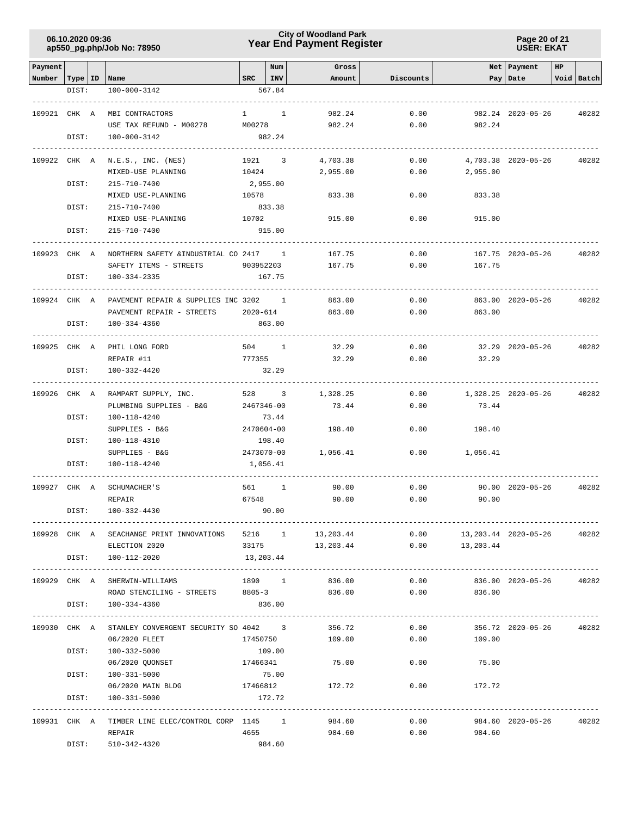### **Year End Payment Register City of Woodland Park 06.10.2020 09:36**

**Page 20 of 21 USER: EKAT**

| Payment                   |       |                                                           |                   | Num            | Gross                |           |                              | Net Payment         | HP |            |
|---------------------------|-------|-----------------------------------------------------------|-------------------|----------------|----------------------|-----------|------------------------------|---------------------|----|------------|
| Number   Type   ID   Name | DIST: | 100-000-3142                                              | $SRC$   INV       | 567.84         | Amount               | Discounts |                              | Pay   Date          |    | Void Batch |
|                           |       |                                                           |                   |                |                      |           |                              |                     |    |            |
| 109921 CHK A              |       | MBI CONTRACTORS                                           | $1 \qquad \qquad$ | $\overline{1}$ | 982.24               | 0.00      |                              | 982.24 2020-05-26   |    | 40282      |
|                           |       | USE TAX REFUND - M00278 M00278                            |                   |                | 982.24               | 0.00      | 982.24                       |                     |    |            |
|                           | DIST: | 100-000-3142                                              |                   | 982.24         |                      |           |                              |                     |    |            |
|                           |       |                                                           | ------------      |                |                      |           |                              |                     |    |            |
|                           |       | 109922 CHK A N.E.S., INC. (NES)                           | 1921 3            |                | 4,703.38             | 0.00      |                              | 4,703.38 2020-05-26 |    | 40282      |
|                           |       | MIXED-USE PLANNING                                        | 10424             |                | 2,955.00             | 0.00      | 2,955.00                     |                     |    |            |
|                           | DIST: | 215-710-7400                                              | 2,955.00          |                |                      |           |                              |                     |    |            |
|                           |       | MIXED USE-PLANNING                                        | 10578             |                | 833.38               | 0.00      | 833.38                       |                     |    |            |
|                           | DIST: | 215-710-7400                                              |                   | 833.38         |                      |           |                              |                     |    |            |
|                           |       | MIXED USE-PLANNING                                        | 10702             |                | 915.00               | 0.00      | 915.00                       |                     |    |            |
|                           | DIST: | 215-710-7400                                              |                   | 915.00         |                      |           |                              |                     |    |            |
|                           |       |                                                           |                   |                |                      |           |                              |                     |    |            |
| 109923 CHK A              |       | NORTHERN SAFETY & INDUSTRIAL CO 2417 1                    |                   |                | 167.75               | 0.00      |                              | 167.75 2020-05-26   |    | 40282      |
|                           |       | SAFETY ITEMS - STREETS 903952203                          |                   |                | 167.75               | 0.00      | 167.75                       |                     |    |            |
|                           | DIST: | 100-334-2335                                              |                   | 167.75         |                      |           |                              |                     |    |            |
| 109924 CHK A              |       | PAVEMENT REPAIR & SUPPLIES INC 3202 1                     |                   |                | 863.00               | 0.00      |                              | 863.00 2020-05-26   |    | 40282      |
|                           |       | PAVEMENT REPAIR - STREETS                                 | 2020-614          |                | 863.00               | 0.00      | 863.00                       |                     |    |            |
|                           | DIST: | 100-334-4360                                              |                   | 863.00         |                      |           |                              |                     |    |            |
|                           |       |                                                           |                   |                | -------------------- |           |                              |                     |    |            |
| 109925 CHK A              |       | PHIL LONG FORD                                            | 504 1             |                | 32.29                | 0.00      |                              | 32.29 2020-05-26    |    | 40282      |
|                           |       | REPAIR #11                                                | 777355            |                | 32.29                | 0.00      | 32.29                        |                     |    |            |
|                           | DIST: | 100-332-4420                                              |                   | 32.29          |                      |           |                              |                     |    |            |
|                           |       |                                                           |                   |                |                      |           |                              |                     |    |            |
|                           |       | 109926 CHK A RAMPART SUPPLY, INC.                         | 528 3             |                | 1,328.25             | 0.00      |                              | 1,328.25 2020-05-26 |    | 40282      |
|                           |       | PLUMBING SUPPLIES - B&G                                   | 2467346-00        |                | 73.44                | 0.00      | 73.44                        |                     |    |            |
|                           | DIST: | 100-118-4240                                              |                   | 73.44          |                      |           |                              |                     |    |            |
|                           |       | SUPPLIES - B&G                                            | 2470604-00        |                | 198.40               | 0.00      | 198.40                       |                     |    |            |
|                           | DIST: | 100-118-4310                                              |                   | 198.40         |                      |           |                              |                     |    |            |
|                           |       | SUPPLIES - B&G                                            | 2473070-00        |                | 1,056.41             | 0.00      | 1,056.41                     |                     |    |            |
|                           | DIST: | 100-118-4240                                              | 1,056.41          |                |                      |           |                              |                     |    |            |
|                           |       |                                                           |                   |                |                      |           |                              |                     |    |            |
| 109927 CHK A              |       | SCHUMACHER 'S                                             | 561 1             |                | 90.00                | 0.00      |                              | 90.00 2020-05-26    |    | 40282      |
|                           |       | REPAIR                                                    | 67548             |                | 90.00                | 0.00      | 90.00                        |                     |    |            |
|                           | DIST: | 100-332-4430                                              |                   | 90.00          |                      |           |                              |                     |    |            |
|                           |       | 109928 CHK A SEACHANGE PRINT INNOVATIONS 5216 1 13,203.44 |                   |                |                      |           | $0.00$ 13, 203.44 2020-05-26 |                     |    | 40282      |
|                           |       | ELECTION 2020                                             |                   |                | 33175 13, 203.44     |           | $0.00$ 13, 203.44            |                     |    |            |
|                           | DIST: | 100-112-2020                                              | 13,203.44         |                |                      |           |                              |                     |    |            |
|                           |       |                                                           |                   |                |                      |           |                              |                     |    |            |
|                           |       | 109929 CHK A SHERWIN-WILLIAMS                             |                   |                | 1890 1 836.00        |           | 0.00                         | 836.00 2020-05-26   |    | 40282      |
|                           |       | ROAD STENCILING - STREETS 8805-3 836.00                   |                   |                |                      |           | $0.00$ 836.00                |                     |    |            |
|                           | DIST: | 100-334-4360                                              |                   | 836.00         |                      |           |                              |                     |    |            |
|                           |       |                                                           |                   |                |                      |           |                              |                     |    |            |
|                           |       | 109930 CHK A STANLEY CONVERGENT SECURITY SO 4042 3        |                   |                | 356.72               | 0.00      |                              | 356.72 2020-05-26   |    | 40282      |
|                           |       | 06/2020 FLEET                                             | 17450750          |                | 109.00               | 0.00      | 109.00                       |                     |    |            |
|                           | DIST: | 100-332-5000                                              |                   | 109.00         |                      |           |                              |                     |    |            |
|                           |       | 06/2020 QUONSET                                           | 17466341          |                | 75.00                | 0.00      | 75.00                        |                     |    |            |
|                           | DIST: | 100-331-5000                                              |                   | 75.00          |                      |           |                              |                     |    |            |
|                           |       | 06/2020 MAIN BLDG 17466812 172.72                         |                   |                |                      |           | $0.00$ 172.72                |                     |    |            |
|                           | DIST: | 100-331-5000                                              |                   | 172.72         |                      |           |                              |                     |    |            |
|                           |       |                                                           |                   |                |                      |           |                              |                     |    |            |
|                           |       | 109931 CHK A TIMBER LINE ELEC/CONTROL CORP 1145 1         |                   |                | 984.60               | 0.00      |                              | 984.60 2020-05-26   |    | 40282      |
|                           |       | REPAIR                                                    | 4655              |                | 984.60               | 0.00      | 984.60                       |                     |    |            |
|                           | DIST: | 510-342-4320                                              |                   | 984.60         |                      |           |                              |                     |    |            |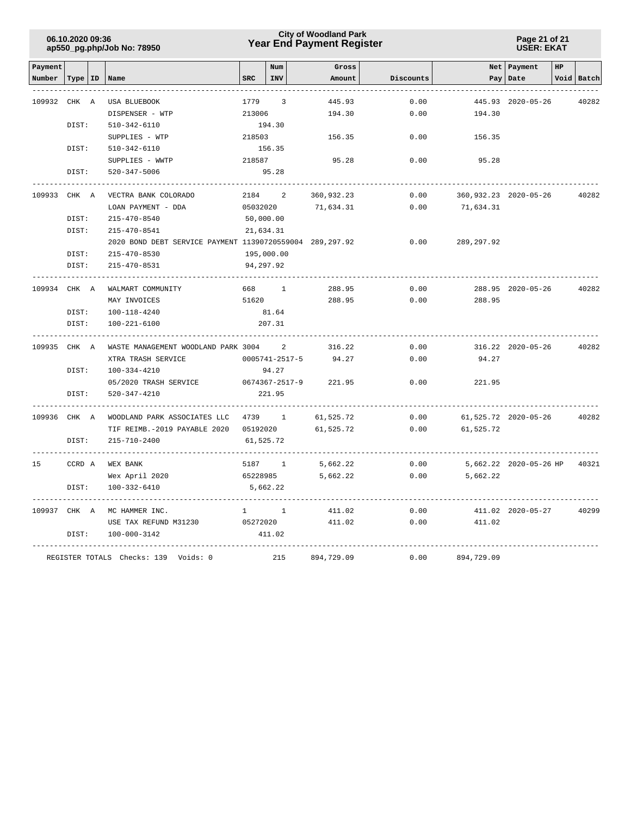### **Year End Payment Register City of Woodland Park 06.10.2020 09:36**

**Page 21 of 21 USER: EKAT**

| Payment      |           |                                                          |              | Num                      | Gross      |           |             | Net   Payment          | HP |            |
|--------------|-----------|----------------------------------------------------------|--------------|--------------------------|------------|-----------|-------------|------------------------|----|------------|
| Number       | Type   ID | Name                                                     | <b>SRC</b>   | INV                      | Amount     | Discounts |             | Pay Date               |    | Void Batch |
|              |           |                                                          |              |                          |            |           |             |                        |    |            |
| 109932       | CHK A     | <b>USA BLUEBOOK</b>                                      | 1779         | 3                        | 445.93     | 0.00      |             | 445.93 2020-05-26      |    | 40282      |
|              |           | DISPENSER - WTP                                          | 213006       |                          | 194.30     | 0.00      | 194.30      |                        |    |            |
|              | DIST:     | 510-342-6110                                             |              | 194.30                   |            |           |             |                        |    |            |
|              |           | SUPPLIES - WTP                                           | 218503       |                          | 156.35     | 0.00      | 156.35      |                        |    |            |
|              | DIST:     | 510-342-6110                                             |              | 156.35                   |            |           |             |                        |    |            |
|              |           | SUPPLIES - WWTP                                          | 218587       |                          | 95.28      | 0.00      | 95.28       |                        |    |            |
|              | DIST:     | 520-347-5006                                             |              | 95.28                    |            |           |             |                        |    |            |
| 109933 CHK A |           | VECTRA BANK COLORADO                                     | 2184         | 2                        | 360,932.23 | 0.00      |             | 360,932.23 2020-05-26  |    | 40282      |
|              |           | LOAN PAYMENT - DDA                                       | 05032020     |                          | 71,634.31  | 0.00      | 71,634.31   |                        |    |            |
|              | DIST:     | $215 - 470 - 8540$                                       |              | 50,000.00                |            |           |             |                        |    |            |
|              | DIST:     | 215-470-8541                                             |              | 21,634.31                |            |           |             |                        |    |            |
|              |           | 2020 BOND DEBT SERVICE PAYMENT 11390720559004 289,297.92 |              |                          |            | 0.00      | 289, 297.92 |                        |    |            |
|              | DIST:     | $215 - 470 - 8530$                                       |              | 195,000.00               |            |           |             |                        |    |            |
|              | DIST:     | 215-470-8531                                             |              | 94,297.92                |            |           |             |                        |    |            |
| 109934       | CHK A     | WALMART COMMUNITY                                        | 668          | 1                        | 288.95     | 0.00      |             | 288.95 2020-05-26      |    | 40282      |
|              |           | MAY INVOICES                                             | 51620        |                          | 288.95     | 0.00      | 288.95      |                        |    |            |
|              | DIST:     | $100 - 118 - 4240$                                       |              | 81.64                    |            |           |             |                        |    |            |
|              | DIST:     | 100-221-6100                                             |              | 207.31                   |            |           |             |                        |    |            |
| 109935 CHK A |           | WASTE MANAGEMENT WOODLAND PARK 3004                      |              | 2                        | 316.22     | 0.00      |             | 316.22 2020-05-26      |    | 40282      |
|              |           | XTRA TRASH SERVICE                                       |              | 0005741-2517-5           | 94.27      | 0.00      | 94.27       |                        |    |            |
|              | DIST:     | $100 - 334 - 4210$                                       |              | 94.27                    |            |           |             |                        |    |            |
|              |           | 05/2020 TRASH SERVICE                                    |              | 0674367-2517-9           | 221.95     | 0.00      | 221.95      |                        |    |            |
|              | DIST:     | $520 - 347 - 4210$                                       |              | 221.95                   |            |           |             |                        |    |            |
| 109936 CHK A |           | WOODLAND PARK ASSOCIATES LLC                             | 4739         | <sup>1</sup>             | 61,525.72  | 0.00      |             | 61,525.72 2020-05-26   |    | 40282      |
|              |           | TIF REIMB. - 2019 PAYABLE 2020                           | 05192020     |                          | 61,525.72  | 0.00      | 61,525.72   |                        |    |            |
|              | DIST:     | 215-710-2400                                             |              | 61,525.72                |            |           |             |                        |    |            |
| 15           | CCRD A    | WEX BANK                                                 | 5187         | $\overline{\phantom{1}}$ | 5,662.22   | 0.00      |             | 5,662.22 2020-05-26 HP |    | 40321      |
|              |           | Wex April 2020                                           | 65228985     |                          | 5,662.22   | 0.00      | 5,662.22    |                        |    |            |
|              | DIST:     | 100-332-6410                                             |              | 5,662.22                 |            |           |             |                        |    |            |
| 109937 CHK A |           | MC HAMMER INC.                                           | $\mathbf{1}$ | $\mathbf{1}$             | 411.02     | 0.00      |             | 411.02 2020-05-27      |    | 40299      |
|              |           | USE TAX REFUND M31230                                    | 05272020     |                          | 411.02     | 0.00      | 411.02      |                        |    |            |
|              | DIST:     | 100-000-3142                                             |              | 411.02                   |            |           |             |                        |    |            |
|              |           | REGISTER TOTALS Checks: 139 Voids: 0                     |              | 215                      | 894,729.09 | 0.00      | 894,729.09  |                        |    |            |